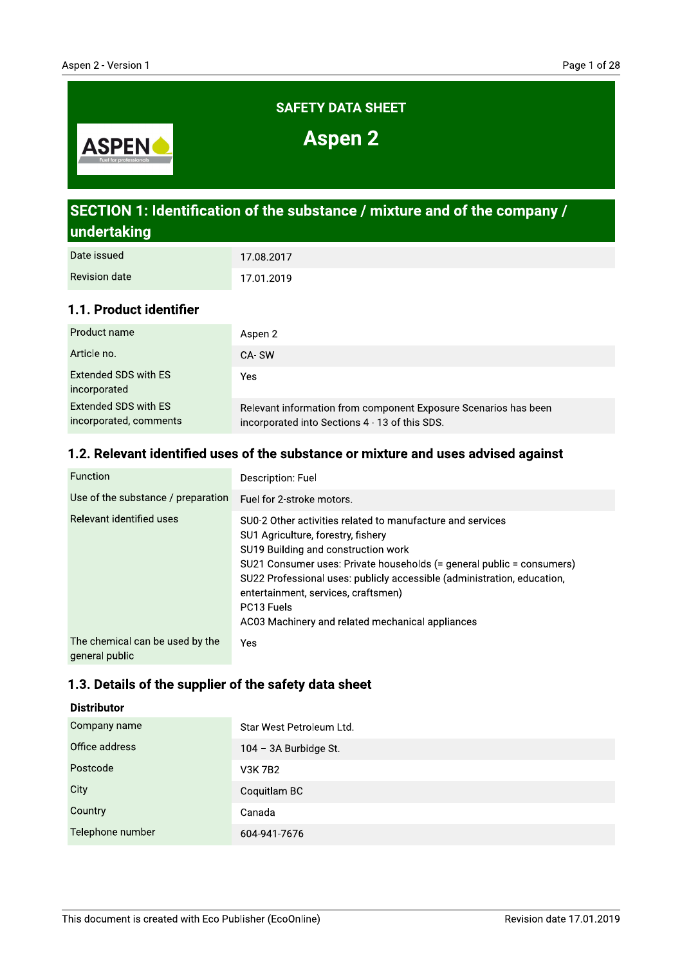

# SECTION 1: Identification of the substance / mixture and of the company / undertaking

| Date issued   | 17.08.2017 |
|---------------|------------|
| Revision date | 17.01.2019 |

## 1.1. Product identifier

| Product name                                   | Aspen 2                                                                                                           |
|------------------------------------------------|-------------------------------------------------------------------------------------------------------------------|
| Article no.                                    | CA-SW                                                                                                             |
| Extended SDS with ES<br>incorporated           | Yes                                                                                                               |
| Extended SDS with ES<br>incorporated, comments | Relevant information from component Exposure Scenarios has been<br>incorporated into Sections 4 - 13 of this SDS. |

## 1.2. Relevant identified uses of the substance or mixture and uses advised against

| <b>Function</b>                                   | Description: Fuel                                                                                                                                                                                                                                                                                                                                                                                    |
|---------------------------------------------------|------------------------------------------------------------------------------------------------------------------------------------------------------------------------------------------------------------------------------------------------------------------------------------------------------------------------------------------------------------------------------------------------------|
| Use of the substance / preparation                | Fuel for 2-stroke motors.                                                                                                                                                                                                                                                                                                                                                                            |
| Relevant identified uses                          | SU0-2 Other activities related to manufacture and services<br>SU1 Agriculture, forestry, fishery<br>SU19 Building and construction work<br>SU21 Consumer uses: Private households (= general public = consumers)<br>SU22 Professional uses: publicly accessible (administration, education,<br>entertainment, services, craftsmen)<br>PC13 Fuels<br>AC03 Machinery and related mechanical appliances |
| The chemical can be used by the<br>general public | Yes                                                                                                                                                                                                                                                                                                                                                                                                  |

### 1.3. Details of the supplier of the safety data sheet

#### **Distributor**

| Company name     | Star West Petroleum Ltd. |
|------------------|--------------------------|
| Office address   | 104 - 3A Burbidge St.    |
| Postcode         | <b>V3K7B2</b>            |
| City             | Coquitlam BC             |
| Country          | Canada                   |
| Telephone number | 604-941-7676             |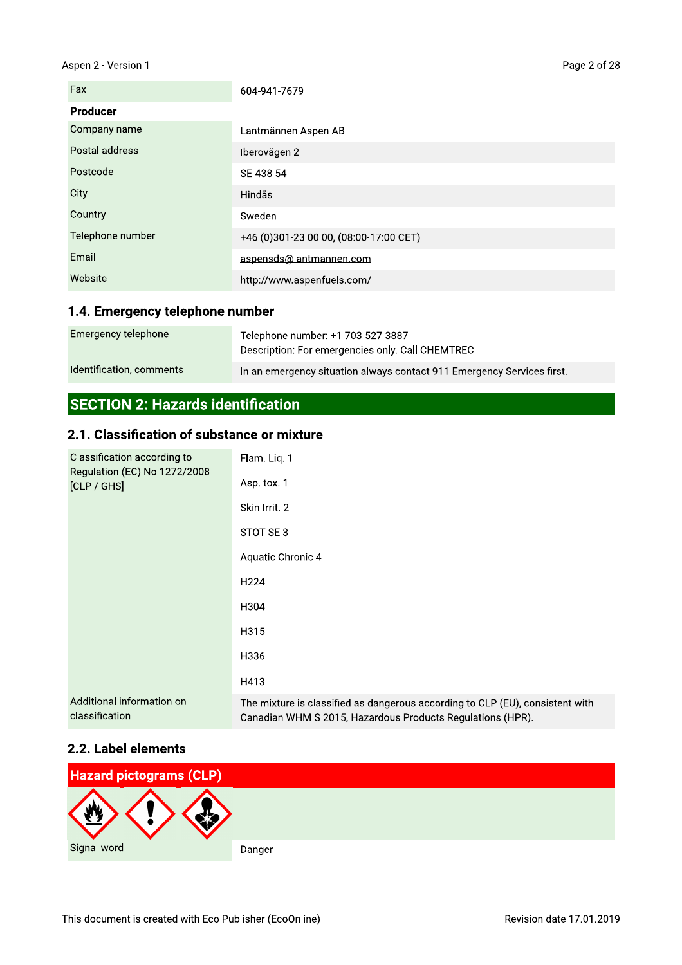#### Aspen 2 - Version 1

| Fax              | 604-941-7679                           |
|------------------|----------------------------------------|
| <b>Producer</b>  |                                        |
| Company name     | Lantmännen Aspen AB                    |
| Postal address   | Iberovägen 2                           |
| Postcode         | SE-438 54                              |
| City             | Hindås                                 |
| Country          | Sweden                                 |
| Telephone number | +46 (0)301-23 00 00, (08:00-17:00 CET) |
| Email            | aspensds@lantmannen.com                |
| Website          | http://www.aspenfuels.com/             |

## 1.4. Emergency telephone number

| Emergency telephone      | Telephone number: +1 703-527-3887<br>Description: For emergencies only. Call CHEMTREC |
|--------------------------|---------------------------------------------------------------------------------------|
| Identification, comments | In an emergency situation always contact 911 Emergency Services first.                |

# **SECTION 2: Hazards identification**

## 2.1. Classification of substance or mixture

| Classification according to<br>Regulation (EC) No 1272/2008<br>[CLP / GHS] | Flam. Liq. 1                                                                                                                                |
|----------------------------------------------------------------------------|---------------------------------------------------------------------------------------------------------------------------------------------|
|                                                                            | Asp. tox. 1                                                                                                                                 |
|                                                                            | Skin Irrit. 2                                                                                                                               |
|                                                                            | STOT SE3                                                                                                                                    |
|                                                                            | Aquatic Chronic 4                                                                                                                           |
|                                                                            | H <sub>224</sub>                                                                                                                            |
|                                                                            | H304                                                                                                                                        |
|                                                                            | H315                                                                                                                                        |
|                                                                            | H336                                                                                                                                        |
|                                                                            | H413                                                                                                                                        |
| Additional information on<br>classification                                | The mixture is classified as dangerous according to CLP (EU), consistent with<br>Canadian WHMIS 2015, Hazardous Products Regulations (HPR). |

## 2.2. Label elements

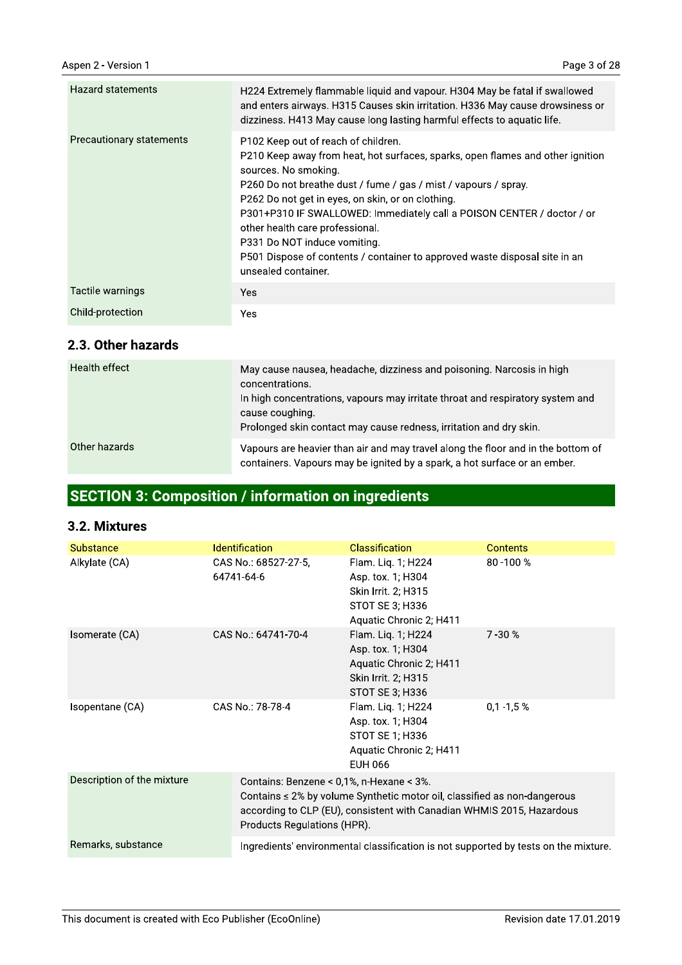| <b>Hazard statements</b> | H224 Extremely flammable liquid and vapour. H304 May be fatal if swallowed<br>and enters airways. H315 Causes skin irritation. H336 May cause drowsiness or<br>dizziness. H413 May cause long lasting harmful effects to aquatic life.                                                                                                                                                                                                                                                                                  |
|--------------------------|-------------------------------------------------------------------------------------------------------------------------------------------------------------------------------------------------------------------------------------------------------------------------------------------------------------------------------------------------------------------------------------------------------------------------------------------------------------------------------------------------------------------------|
| Precautionary statements | P102 Keep out of reach of children.<br>P210 Keep away from heat, hot surfaces, sparks, open flames and other ignition<br>sources. No smoking.<br>P260 Do not breathe dust / fume / gas / mist / vapours / spray.<br>P262 Do not get in eyes, on skin, or on clothing.<br>P301+P310 IF SWALLOWED: Immediately call a POISON CENTER / doctor / or<br>other health care professional.<br>P331 Do NOT induce vomiting.<br>P501 Dispose of contents / container to approved waste disposal site in an<br>unsealed container. |
| Tactile warnings         | Yes.                                                                                                                                                                                                                                                                                                                                                                                                                                                                                                                    |
| Child-protection         | Yes                                                                                                                                                                                                                                                                                                                                                                                                                                                                                                                     |

#### 2.3. Other hazards

| Health effect | May cause nausea, headache, dizziness and poisoning. Narcosis in high<br>concentrations.<br>In high concentrations, vapours may irritate throat and respiratory system and<br>cause coughing.<br>Prolonged skin contact may cause redness, irritation and dry skin. |
|---------------|---------------------------------------------------------------------------------------------------------------------------------------------------------------------------------------------------------------------------------------------------------------------|
| Other hazards | Vapours are heavier than air and may travel along the floor and in the bottom of<br>containers. Vapours may be ignited by a spark, a hot surface or an ember.                                                                                                       |

# **SECTION 3: Composition / information on ingredients**

### 3.2. Mixtures

| <b>Substance</b>           | <b>Identification</b>                                                   | <b>Classification</b>                                                                                                                                   | <b>Contents</b> |
|----------------------------|-------------------------------------------------------------------------|---------------------------------------------------------------------------------------------------------------------------------------------------------|-----------------|
| Alkylate (CA)              | CAS No.: 68527-27-5,<br>64741-64-6                                      | Flam. Liq. 1; H224<br>Asp. tox. 1; H304<br>Skin Irrit. 2; H315<br>STOT SE 3; H336<br>Aquatic Chronic 2; H411                                            | 80-100%         |
| Isomerate (CA)             | CAS No.: 64741-70-4                                                     | Flam. Liq. 1; H224<br>Asp. tox. 1; H304<br>Aquatic Chronic 2; H411<br>Skin Irrit. 2; H315<br>STOT SE 3; H336                                            | $7 - 30%$       |
| Isopentane (CA)            | CAS No.: 78-78-4                                                        | Flam. Liq. 1; H224<br>Asp. tox. 1; H304<br>STOT SE 1; H336<br>Aquatic Chronic 2; H411<br>EUH 066                                                        | $0,1 -1,5 %$    |
| Description of the mixture | Contains: Benzene < 0,1%, n-Hexane < 3%.<br>Products Regulations (HPR). | Contains $\leq 2\%$ by volume Synthetic motor oil, classified as non-dangerous<br>according to CLP (EU), consistent with Canadian WHMIS 2015, Hazardous |                 |
| Remarks, substance         |                                                                         | Ingredients' environmental classification is not supported by tests on the mixture.                                                                     |                 |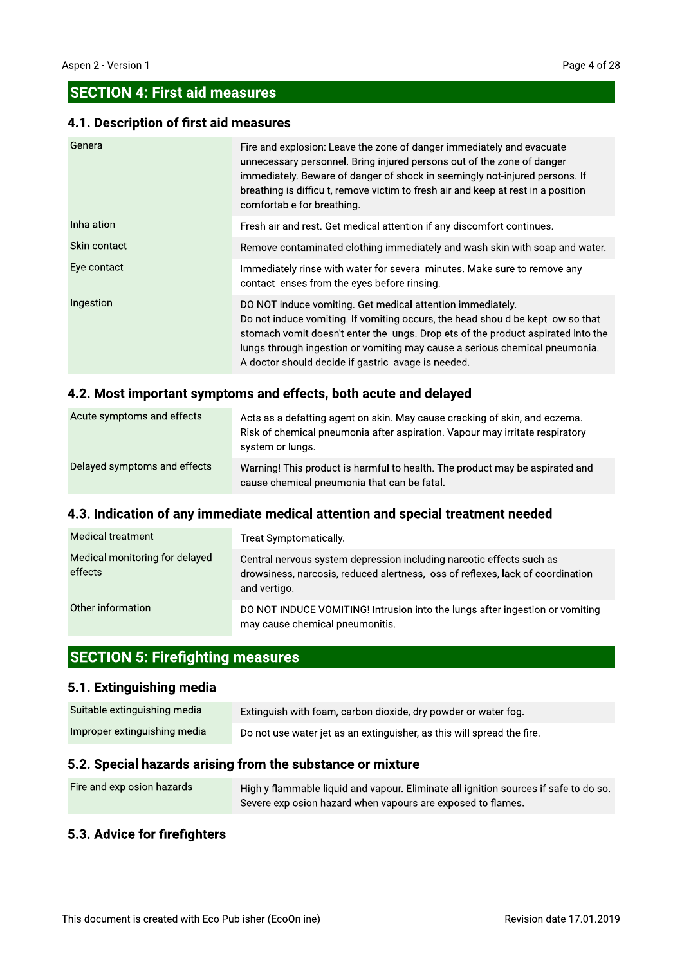## **SECTION 4: First aid measures**

#### 4.1. Description of first aid measures

| General           | Fire and explosion: Leave the zone of danger immediately and evacuate<br>unnecessary personnel. Bring injured persons out of the zone of danger<br>immediately. Beware of danger of shock in seemingly not-injured persons. If<br>breathing is difficult, remove victim to fresh air and keep at rest in a position<br>comfortable for breathing.                        |
|-------------------|--------------------------------------------------------------------------------------------------------------------------------------------------------------------------------------------------------------------------------------------------------------------------------------------------------------------------------------------------------------------------|
| <b>Inhalation</b> | Fresh air and rest. Get medical attention if any discomfort continues.                                                                                                                                                                                                                                                                                                   |
| Skin contact      | Remove contaminated clothing immediately and wash skin with soap and water.                                                                                                                                                                                                                                                                                              |
| Eye contact       | Immediately rinse with water for several minutes. Make sure to remove any<br>contact lenses from the eyes before rinsing.                                                                                                                                                                                                                                                |
| Ingestion         | DO NOT induce vomiting. Get medical attention immediately.<br>Do not induce vomiting. If vomiting occurs, the head should be kept low so that<br>stomach vomit doesn't enter the lungs. Droplets of the product aspirated into the<br>lungs through ingestion or vomiting may cause a serious chemical pneumonia.<br>A doctor should decide if gastric lavage is needed. |

#### 4.2. Most important symptoms and effects, both acute and delayed

| Acute symptoms and effects   | Acts as a defatting agent on skin. May cause cracking of skin, and eczema.<br>Risk of chemical pneumonia after aspiration. Vapour may irritate respiratory<br>system or lungs. |
|------------------------------|--------------------------------------------------------------------------------------------------------------------------------------------------------------------------------|
| Delayed symptoms and effects | Warning! This product is harmful to health. The product may be aspirated and<br>cause chemical pneumonia that can be fatal.                                                    |

## 4.3. Indication of any immediate medical attention and special treatment needed

| <b>Medical treatment</b>                  | Treat Symptomatically.                                                                                                                                                  |  |
|-------------------------------------------|-------------------------------------------------------------------------------------------------------------------------------------------------------------------------|--|
| Medical monitoring for delayed<br>effects | Central nervous system depression including narcotic effects such as<br>drowsiness, narcosis, reduced alertness, loss of reflexes, lack of coordination<br>and vertigo. |  |
| Other information                         | DO NOT INDUCE VOMITING! Intrusion into the lungs after ingestion or vomiting<br>may cause chemical pneumonitis.                                                         |  |

# **SECTION 5: Firefighting measures**

### 5.1. Extinguishing media

| Suitable extinguishing media | Extinguish with foam, carbon dioxide, dry powder or water fog.         |  |
|------------------------------|------------------------------------------------------------------------|--|
| Improper extinguishing media | Do not use water jet as an extinguisher, as this will spread the fire. |  |

### 5.2. Special hazards arising from the substance or mixture

| Fire and explosion hazards | Highly flammable liquid and vapour. Eliminate all ignition sources if safe to do so. |
|----------------------------|--------------------------------------------------------------------------------------|
|                            | Severe explosion hazard when vapours are exposed to flames.                          |

### 5.3. Advice for firefighters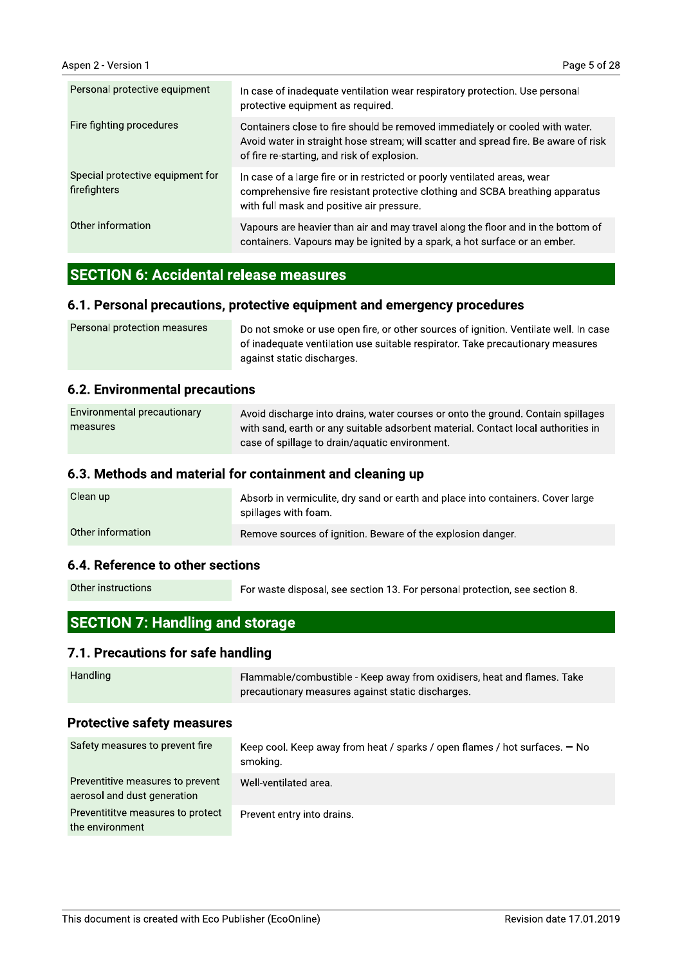| Personal protective equipment                    | In case of inadequate ventilation wear respiratory protection. Use personal<br>protective equipment as required.                                                                                                   |  |
|--------------------------------------------------|--------------------------------------------------------------------------------------------------------------------------------------------------------------------------------------------------------------------|--|
| Fire fighting procedures                         | Containers close to fire should be removed immediately or cooled with water.<br>Avoid water in straight hose stream; will scatter and spread fire. Be aware of risk<br>of fire re-starting, and risk of explosion. |  |
| Special protective equipment for<br>firefighters | In case of a large fire or in restricted or poorly ventilated areas, wear<br>comprehensive fire resistant protective clothing and SCBA breathing apparatus<br>with full mask and positive air pressure.            |  |
| Other information                                | Vapours are heavier than air and may travel along the floor and in the bottom of<br>containers. Vapours may be ignited by a spark, a hot surface or an ember.                                                      |  |

## **SECTION 6: Accidental release measures**

#### 6.1. Personal precautions, protective equipment and emergency procedures

| Personal protection measures | Do not smoke or use open fire, or other sources of ignition. Ventilate well. In case |
|------------------------------|--------------------------------------------------------------------------------------|
|                              | of inadequate ventilation use suitable respirator. Take precautionary measures       |
|                              | against static discharges.                                                           |

#### **6.2. Environmental precautions**

| Environmental precautionary | Avoid discharge into drains, water courses or onto the ground. Contain spillages  |  |  |
|-----------------------------|-----------------------------------------------------------------------------------|--|--|
| measures                    | with sand, earth or any suitable adsorbent material. Contact local authorities in |  |  |
|                             | case of spillage to drain/aquatic environment.                                    |  |  |

#### 6.3. Methods and material for containment and cleaning up

| Clean up          | Absorb in vermiculite, dry sand or earth and place into containers. Cover large<br>spillages with foam. |
|-------------------|---------------------------------------------------------------------------------------------------------|
| Other information | Remove sources of ignition. Beware of the explosion danger.                                             |

#### 6.4. Reference to other sections

Other instructions

For waste disposal, see section 13. For personal protection, see section 8.

## **SECTION 7: Handling and storage**

#### 7.1. Precautions for safe handling

Handling Flammable/combustible - Keep away from oxidisers, heat and flames. Take precautionary measures against static discharges.

#### **Protective safety measures**

| Safety measures to prevent fire                                 | Keep cool. Keep away from heat / sparks / open flames / hot surfaces. - No<br>smoking. |  |
|-----------------------------------------------------------------|----------------------------------------------------------------------------------------|--|
| Preventitive measures to prevent<br>aerosol and dust generation | Well-ventilated area.                                                                  |  |
| Preventititye measures to protect<br>the environment            | Prevent entry into drains.                                                             |  |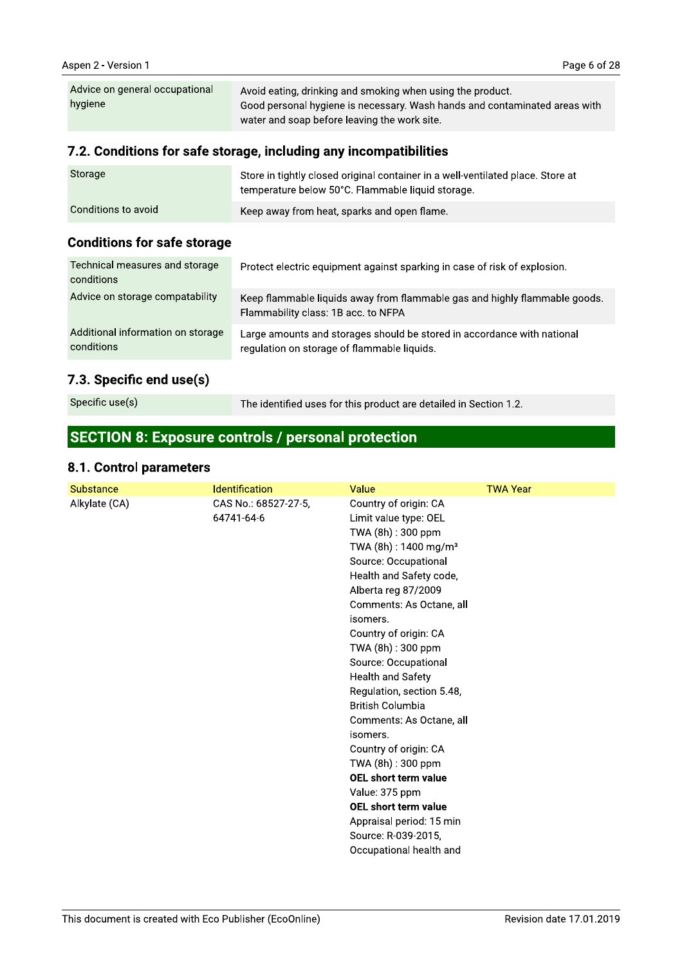| Advice on general occupational<br>hygiene | Avoid eating, drinking and smoking when using the product.<br>Good personal hygiene is necessary. Wash hands and contaminated areas with<br>water and soap before leaving the work site. |
|-------------------------------------------|------------------------------------------------------------------------------------------------------------------------------------------------------------------------------------------|
|                                           |                                                                                                                                                                                          |

## 7.2. Conditions for safe storage, including any incompatibilities

| Storage             | Store in tightly closed original container in a well-ventilated place. Store at<br>temperature below 50°C. Flammable liquid storage. |
|---------------------|--------------------------------------------------------------------------------------------------------------------------------------|
| Conditions to avoid | Keep away from heat, sparks and open flame.                                                                                          |

### **Conditions for safe storage**

| Technical measures and storage<br>conditions    | Protect electric equipment against sparking in case of risk of explosion.                                              |
|-------------------------------------------------|------------------------------------------------------------------------------------------------------------------------|
| Advice on storage compatability                 | Keep flammable liquids away from flammable gas and highly flammable goods.<br>Flammability class: 1B acc. to NFPA      |
| Additional information on storage<br>conditions | Large amounts and storages should be stored in accordance with national<br>regulation on storage of flammable liquids. |

## 7.3. Specific end use(s)

Specific use(s)

The identified uses for this product are detailed in Section 1.2.

# **SECTION 8: Exposure controls / personal protection**

#### 8.1. Control parameters

| Substance     | <b>Identification</b>              | Value                                                                                                                                                                                                                                                                                                                                                                                                                                                                                                                                                                                                                            | <b>TWA Year</b> |
|---------------|------------------------------------|----------------------------------------------------------------------------------------------------------------------------------------------------------------------------------------------------------------------------------------------------------------------------------------------------------------------------------------------------------------------------------------------------------------------------------------------------------------------------------------------------------------------------------------------------------------------------------------------------------------------------------|-----------------|
| Alkylate (CA) | CAS No.: 68527-27-5,<br>64741-64-6 | Country of origin: CA<br>Limit value type: OEL<br>TWA (8h): 300 ppm<br>TWA (8h): 1400 mg/m <sup>3</sup><br>Source: Occupational<br>Health and Safety code,<br>Alberta reg 87/2009<br>Comments: As Octane, all<br>isomers.<br>Country of origin: CA<br>TWA (8h): 300 ppm<br>Source: Occupational<br><b>Health and Safety</b><br>Regulation, section 5.48,<br><b>British Columbia</b><br>Comments: As Octane, all<br>isomers.<br>Country of origin: CA<br>TWA (8h): 300 ppm<br>OEL short term value<br>Value: 375 ppm<br><b>OEL short term value</b><br>Appraisal period: 15 min<br>Source: R-039-2015,<br>Occupational health and |                 |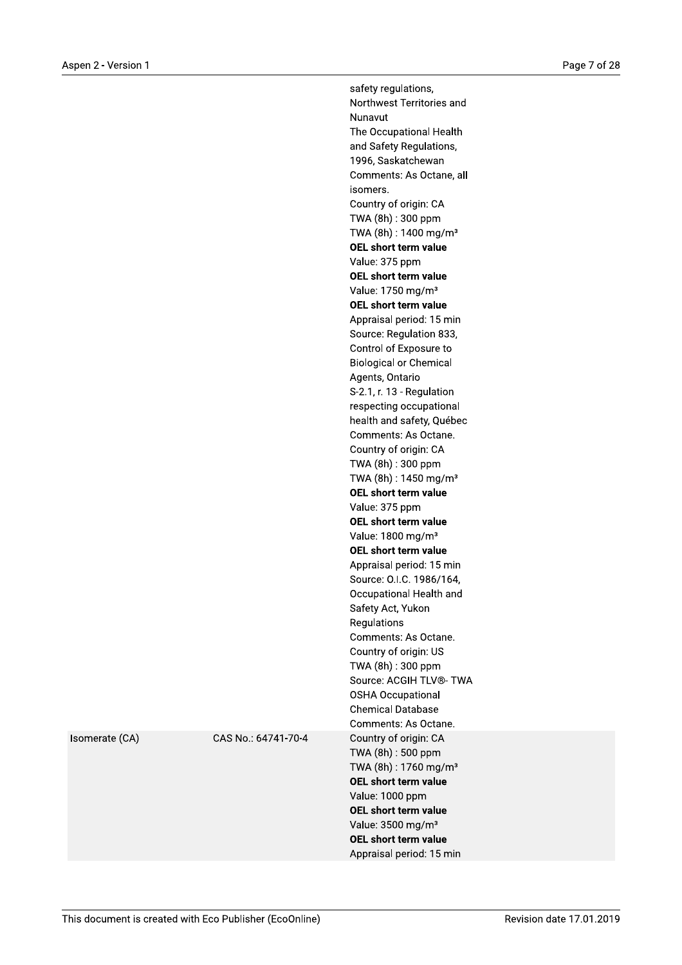safety regulations, Northwest Territories and Nunavut The Occupational Health and Safety Regulations, 1996, Saskatchewan Comments: As Octane, all isomers. Country of origin: CA TWA (8h): 300 ppm TWA (8h): 1400 mg/m<sup>3</sup> OEL short term value Value: 375 ppm OEL short term value Value: 1750 mg/m<sup>3</sup> OEL short term value Appraisal period: 15 min Source: Regulation 833, Control of Exposure to **Biological or Chemical** Agents, Ontario S-2.1, r. 13 - Regulation respecting occupational health and safety, Québec Comments: As Octane. Country of origin: CA TWA (8h): 300 ppm TWA (8h): 1450 mg/m<sup>3</sup> OEL short term value Value: 375 ppm OEL short term value Value: 1800 mg/m<sup>3</sup> OEL short term value Appraisal period: 15 min Source: O.I.C. 1986/164, Occupational Health and Safety Act, Yukon Regulations Comments: As Octane. Country of origin: US TWA (8h): 300 ppm Source: ACGIH TLV®- TWA **OSHA Occupational Chemical Database** Comments: As Octane. Country of origin: CA TWA (8h): 500 ppm TWA (8h): 1760 mg/m<sup>3</sup> OEL short term value Value: 1000 ppm **OEL short term value** Value: 3500 mg/m<sup>3</sup> OEL short term value Appraisal period: 15 min

Isomerate (CA)

CAS No.: 64741-70-4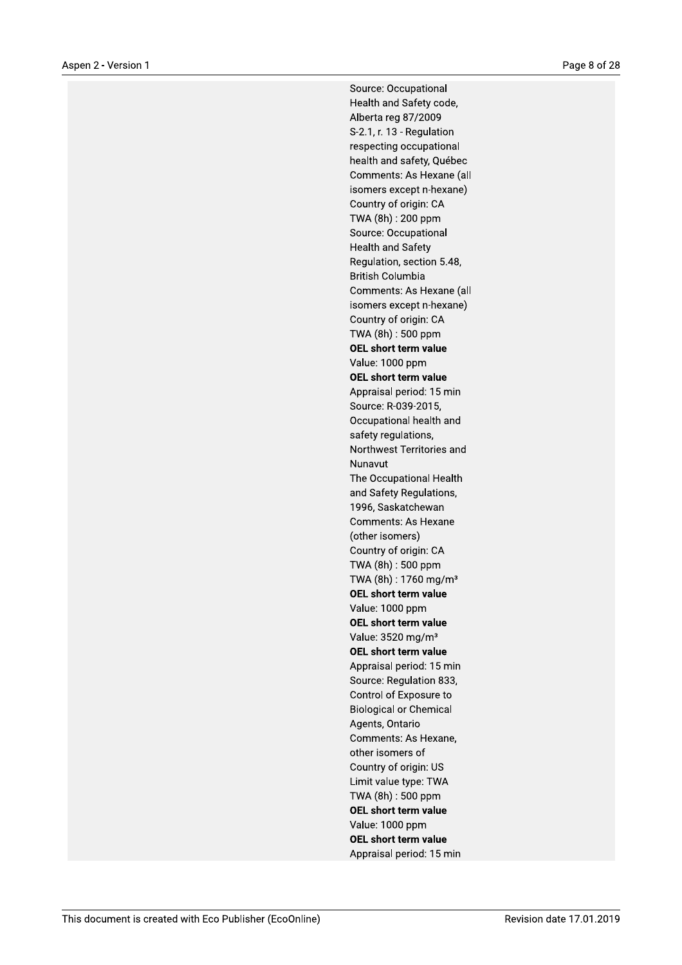Source: Occupational Health and Safety code, Alberta reg 87/2009 S-2.1, r. 13 - Regulation respecting occupational health and safety, Québec Comments: As Hexane (all isomers except n-hexane) Country of origin: CA TWA (8h): 200 ppm Source: Occupational **Health and Safety** Regulation, section 5.48, **British Columbia** Comments: As Hexane (all isomers except n-hexane) Country of origin: CA TWA (8h): 500 ppm OEL short term value Value: 1000 ppm OEL short term value Appraisal period: 15 min Source: R-039-2015, Occupational health and safety regulations, Northwest Territories and Nunavut The Occupational Health and Safety Regulations, 1996, Saskatchewan Comments: As Hexane (other isomers) Country of origin: CA TWA (8h): 500 ppm TWA (8h): 1760 mg/m<sup>3</sup> OEL short term value Value: 1000 ppm OEL short term value Value: 3520 mg/m<sup>3</sup> OEL short term value Appraisal period: 15 min Source: Regulation 833, Control of Exposure to **Biological or Chemical** Agents, Ontario Comments: As Hexane, other isomers of Country of origin: US Limit value type: TWA TWA (8h): 500 ppm **OEL short term value** Value: 1000 ppm OEL short term value Appraisal period: 15 min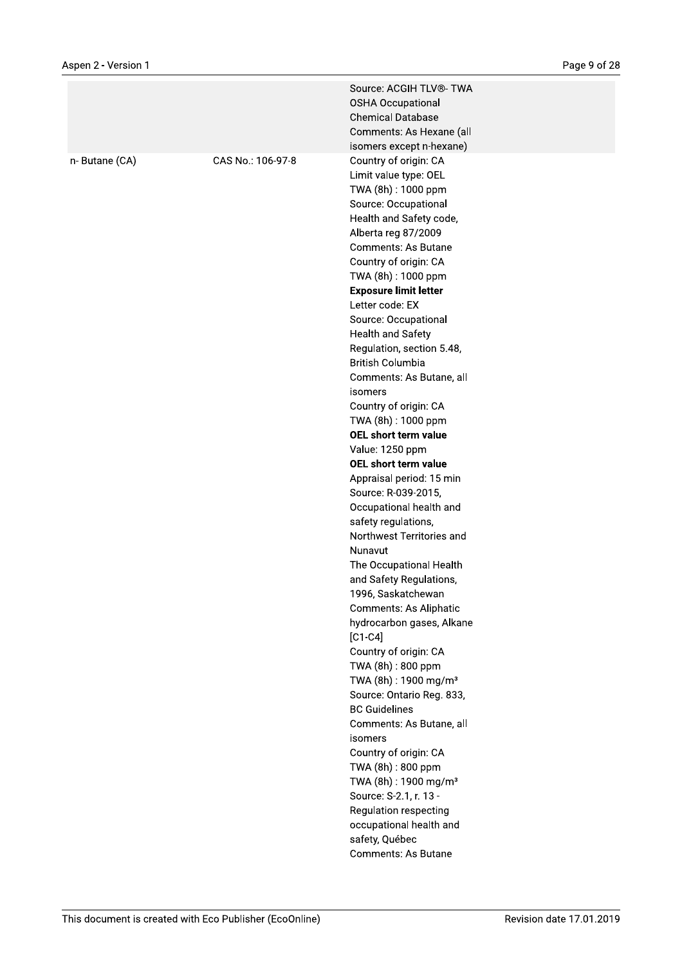|               |                   | Source: ACGIH TLV®- TWA<br><b>OSHA Occupational</b><br><b>Chemical Database</b><br>Comments: As Hexane (all                                                                                                                                                                                                                                                                                                                                                                                                    |
|---------------|-------------------|----------------------------------------------------------------------------------------------------------------------------------------------------------------------------------------------------------------------------------------------------------------------------------------------------------------------------------------------------------------------------------------------------------------------------------------------------------------------------------------------------------------|
|               |                   |                                                                                                                                                                                                                                                                                                                                                                                                                                                                                                                |
| n-Butane (CA) | CAS No.: 106-97-8 | isomers except n-hexane)<br>Country of origin: CA<br>Limit value type: OEL<br>TWA (8h) : 1000 ppm<br>Source: Occupational<br>Health and Safety code,<br>Alberta reg 87/2009<br><b>Comments: As Butane</b><br>Country of origin: CA<br>TWA (8h): 1000 ppm<br><b>Exposure limit letter</b><br>Letter code: EX<br>Source: Occupational<br><b>Health and Safety</b><br>Regulation, section 5.48,<br><b>British Columbia</b><br>Comments: As Butane, all<br>isomers<br>Country of origin: CA<br>TWA (8h) : 1000 ppm |
|               |                   |                                                                                                                                                                                                                                                                                                                                                                                                                                                                                                                |
|               |                   | OEL short term value                                                                                                                                                                                                                                                                                                                                                                                                                                                                                           |
|               |                   | Value: 1250 ppm                                                                                                                                                                                                                                                                                                                                                                                                                                                                                                |
|               |                   | OEL short term value                                                                                                                                                                                                                                                                                                                                                                                                                                                                                           |
|               |                   | Appraisal period: 15 min                                                                                                                                                                                                                                                                                                                                                                                                                                                                                       |
|               |                   | Source: R-039-2015,                                                                                                                                                                                                                                                                                                                                                                                                                                                                                            |
|               |                   | Occupational health and                                                                                                                                                                                                                                                                                                                                                                                                                                                                                        |
|               |                   | safety regulations,                                                                                                                                                                                                                                                                                                                                                                                                                                                                                            |
|               |                   | Northwest Territories and                                                                                                                                                                                                                                                                                                                                                                                                                                                                                      |
|               |                   | Nunavut                                                                                                                                                                                                                                                                                                                                                                                                                                                                                                        |
|               |                   | The Occupational Health                                                                                                                                                                                                                                                                                                                                                                                                                                                                                        |
|               |                   | and Safety Regulations,                                                                                                                                                                                                                                                                                                                                                                                                                                                                                        |
|               |                   | 1996, Saskatchewan                                                                                                                                                                                                                                                                                                                                                                                                                                                                                             |
|               |                   | Comments: As Aliphatic                                                                                                                                                                                                                                                                                                                                                                                                                                                                                         |
|               |                   | hydrocarbon gases, Alkane                                                                                                                                                                                                                                                                                                                                                                                                                                                                                      |
|               |                   | $[C1-C4]$                                                                                                                                                                                                                                                                                                                                                                                                                                                                                                      |
|               |                   | Country of origin: CA                                                                                                                                                                                                                                                                                                                                                                                                                                                                                          |
|               |                   | TWA (8h): 800 ppm                                                                                                                                                                                                                                                                                                                                                                                                                                                                                              |
|               |                   | TWA (8h): 1900 mg/m <sup>3</sup>                                                                                                                                                                                                                                                                                                                                                                                                                                                                               |
|               |                   | Source: Ontario Reg. 833,                                                                                                                                                                                                                                                                                                                                                                                                                                                                                      |
|               |                   | <b>BC Guidelines</b>                                                                                                                                                                                                                                                                                                                                                                                                                                                                                           |
|               |                   | Comments: As Butane, all                                                                                                                                                                                                                                                                                                                                                                                                                                                                                       |
|               |                   | isomers                                                                                                                                                                                                                                                                                                                                                                                                                                                                                                        |
|               |                   | Country of origin: CA                                                                                                                                                                                                                                                                                                                                                                                                                                                                                          |
|               |                   | TWA (8h): 800 ppm                                                                                                                                                                                                                                                                                                                                                                                                                                                                                              |
|               |                   | TWA (8h): 1900 mg/m <sup>3</sup>                                                                                                                                                                                                                                                                                                                                                                                                                                                                               |
|               |                   | Source: S-2.1, r. 13 -                                                                                                                                                                                                                                                                                                                                                                                                                                                                                         |
|               |                   | Regulation respecting                                                                                                                                                                                                                                                                                                                                                                                                                                                                                          |
|               |                   | occupational health and                                                                                                                                                                                                                                                                                                                                                                                                                                                                                        |
|               |                   | safety, Québec                                                                                                                                                                                                                                                                                                                                                                                                                                                                                                 |
|               |                   | Comments: As Butane                                                                                                                                                                                                                                                                                                                                                                                                                                                                                            |
|               |                   |                                                                                                                                                                                                                                                                                                                                                                                                                                                                                                                |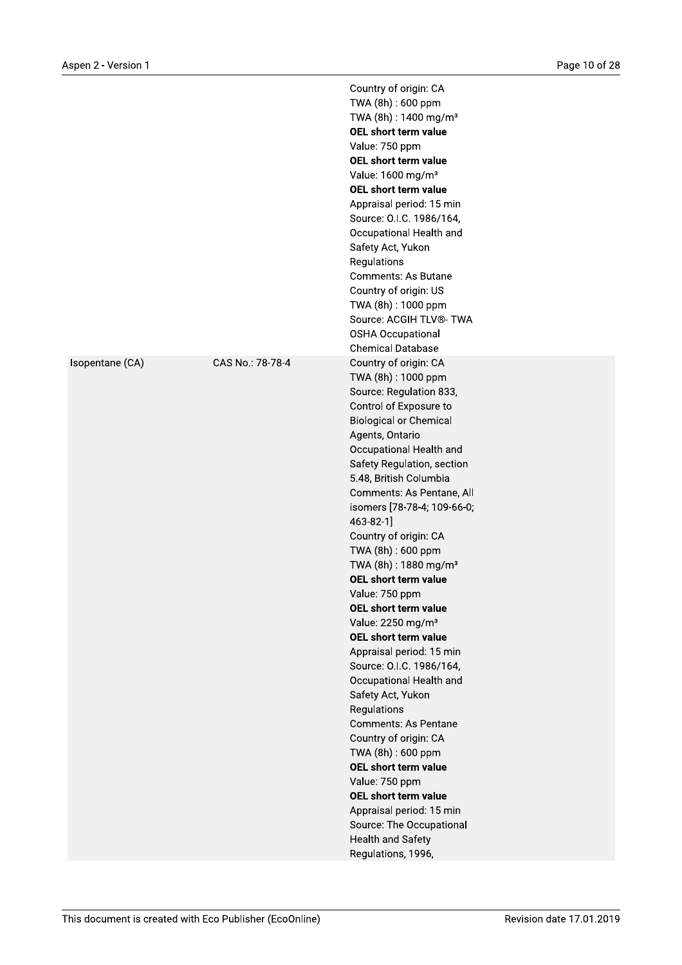|                 |                  | Country of origin: CA<br>TWA (8h): 600 ppm<br>TWA (8h): 1400 mg/m <sup>3</sup><br>OEL short term value<br>Value: 750 ppm<br>OEL short term value<br>Value: 1600 mg/m <sup>3</sup><br>OEL short term value<br>Appraisal period: 15 min<br>Source: O.I.C. 1986/164,<br>Occupational Health and<br>Safety Act, Yukon<br>Regulations<br><b>Comments: As Butane</b><br>Country of origin: US<br>TWA (8h): 1000 ppm<br>Source: ACGIH TLV®- TWA<br><b>OSHA Occupational</b><br><b>Chemical Database</b>                                                                                                                                                                                                                                                                                                                                                                                                                          |
|-----------------|------------------|---------------------------------------------------------------------------------------------------------------------------------------------------------------------------------------------------------------------------------------------------------------------------------------------------------------------------------------------------------------------------------------------------------------------------------------------------------------------------------------------------------------------------------------------------------------------------------------------------------------------------------------------------------------------------------------------------------------------------------------------------------------------------------------------------------------------------------------------------------------------------------------------------------------------------|
| Isopentane (CA) | CAS No.: 78-78-4 | Country of origin: CA<br>TWA (8h): 1000 ppm<br>Source: Regulation 833,<br>Control of Exposure to<br><b>Biological or Chemical</b><br>Agents, Ontario<br>Occupational Health and<br>Safety Regulation, section<br>5.48, British Columbia<br>Comments: As Pentane, All<br>isomers [78-78-4; 109-66-0;<br>$463 - 82 - 1$<br>Country of origin: CA<br>TWA (8h): 600 ppm<br>TWA (8h): 1880 mg/m <sup>3</sup><br>OEL short term value<br>Value: 750 ppm<br>OEL short term value<br>Value: 2250 mg/m <sup>3</sup><br><b>OEL short term value</b><br>Appraisal period: 15 min<br>Source: O.I.C. 1986/164,<br>Occupational Health and<br>Safety Act, Yukon<br>Regulations<br><b>Comments: As Pentane</b><br>Country of origin: CA<br>TWA (8h): 600 ppm<br>OEL short term value<br>Value: 750 ppm<br>OEL short term value<br>Appraisal period: 15 min<br>Source: The Occupational<br><b>Health and Safety</b><br>Regulations, 1996, |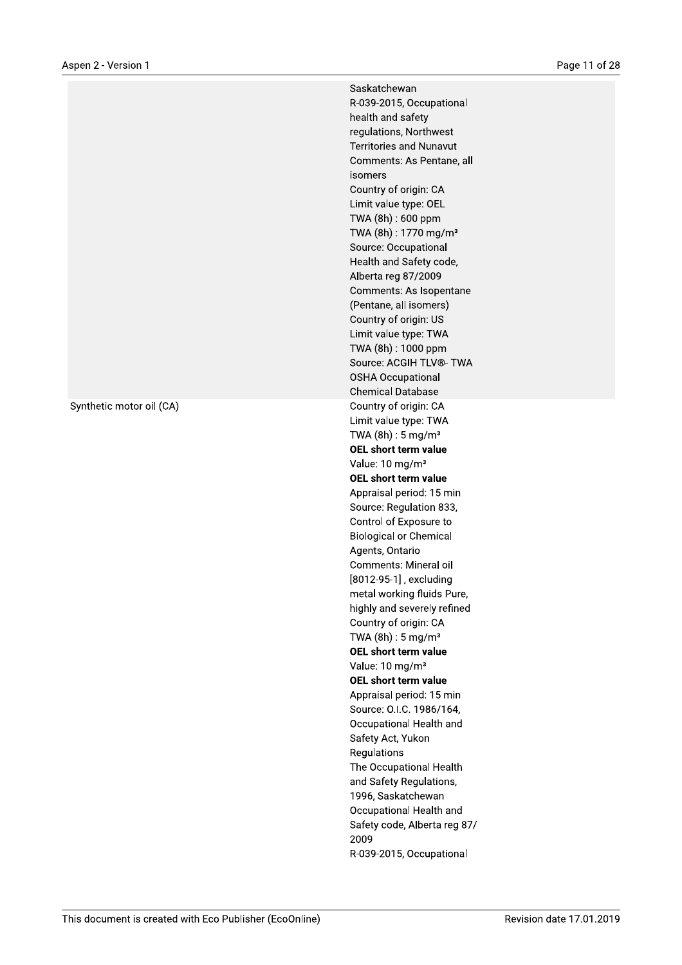Synthetic motor oil (CA)

Saskatchewan R-039-2015, Occupational health and safety regulations, Northwest **Territories and Nunavut** Comments: As Pentane, all isomers Country of origin: CA Limit value type: OEL TWA (8h): 600 ppm TWA (8h): 1770 mg/m<sup>3</sup> Source: Occupational Health and Safety code, Alberta reg 87/2009 Comments: As Isopentane (Pentane, all isomers) Country of origin: US Limit value type: TWA TWA (8h): 1000 ppm Source: ACGIH TLV®- TWA **OSHA Occupational Chemical Database** Country of origin: CA Limit value type: TWA TWA  $(8h): 5 \text{ mg/m}^3$ OEL short term value Value: 10 mg/m<sup>3</sup> OEL short term value Appraisal period: 15 min Source: Regulation 833, Control of Exposure to **Biological or Chemical** Agents, Ontario Comments: Mineral oil [8012-95-1], excluding metal working fluids Pure, highly and severely refined Country of origin: CA TWA  $(8h): 5 mg/m<sup>3</sup>$ OEL short term value Value: 10 mg/m<sup>3</sup> OEL short term value Appraisal period: 15 min Source: O.I.C. 1986/164, Occupational Health and Safety Act, Yukon Regulations The Occupational Health and Safety Regulations, 1996, Saskatchewan Occupational Health and Safety code, Alberta reg 87/ 2009 R-039-2015, Occupational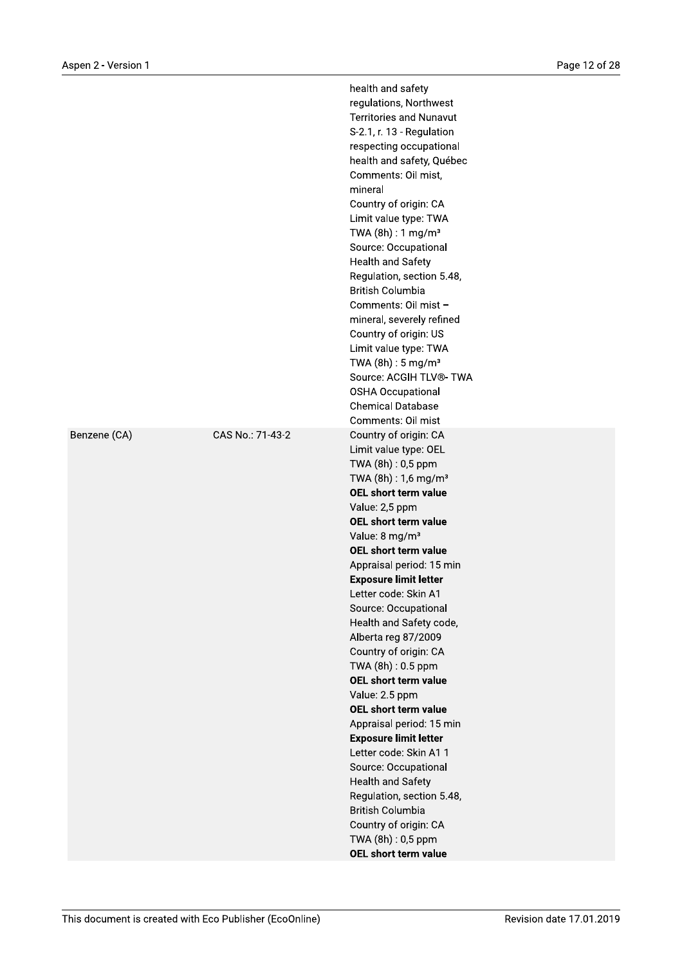|                  | health and safety<br>regulations, Northwest<br><b>Territories and Nunavut</b><br>S-2.1, r. 13 - Regulation<br>respecting occupational<br>health and safety, Québec<br>Comments: Oil mist,<br>mineral<br>Country of origin: CA<br>Limit value type: TWA<br>TWA $(8h)$ : 1 mg/m <sup>3</sup><br>Source: Occupational<br><b>Health and Safety</b><br>Regulation, section 5.48,<br><b>British Columbia</b><br>Comments: Oil mist -<br>mineral, severely refined<br>Country of origin: US<br>Limit value type: TWA<br>TWA $(8h): 5 \text{ mg/m}^3$<br>Source: ACGIH TLV®- TWA<br><b>OSHA Occupational</b><br><b>Chemical Database</b><br>Comments: Oil mist                                                                                                                               |
|------------------|--------------------------------------------------------------------------------------------------------------------------------------------------------------------------------------------------------------------------------------------------------------------------------------------------------------------------------------------------------------------------------------------------------------------------------------------------------------------------------------------------------------------------------------------------------------------------------------------------------------------------------------------------------------------------------------------------------------------------------------------------------------------------------------|
| CAS No.: 71-43-2 | Country of origin: CA<br>Limit value type: OEL<br>TWA (8h): 0,5 ppm<br>TWA $(8h) : 1,6$ mg/m <sup>3</sup><br>OEL short term value<br>Value: 2,5 ppm<br>OEL short term value<br>Value: 8 mg/m <sup>3</sup><br><b>OEL short term value</b><br>Appraisal period: 15 min<br><b>Exposure limit letter</b><br>Letter code: Skin A1<br>Source: Occupational<br>Health and Safety code,<br>Alberta reg 87/2009<br>Country of origin: CA<br>TWA (8h): 0.5 ppm<br><b>OEL short term value</b><br>Value: 2.5 ppm<br><b>OEL short term value</b><br>Appraisal period: 15 min<br><b>Exposure limit letter</b><br>Letter code: Skin A1 1<br>Source: Occupational<br><b>Health and Safety</b><br>Regulation, section 5.48,<br><b>British Columbia</b><br>Country of origin: CA<br>TWA (8h): 0,5 ppm |
|                  |                                                                                                                                                                                                                                                                                                                                                                                                                                                                                                                                                                                                                                                                                                                                                                                      |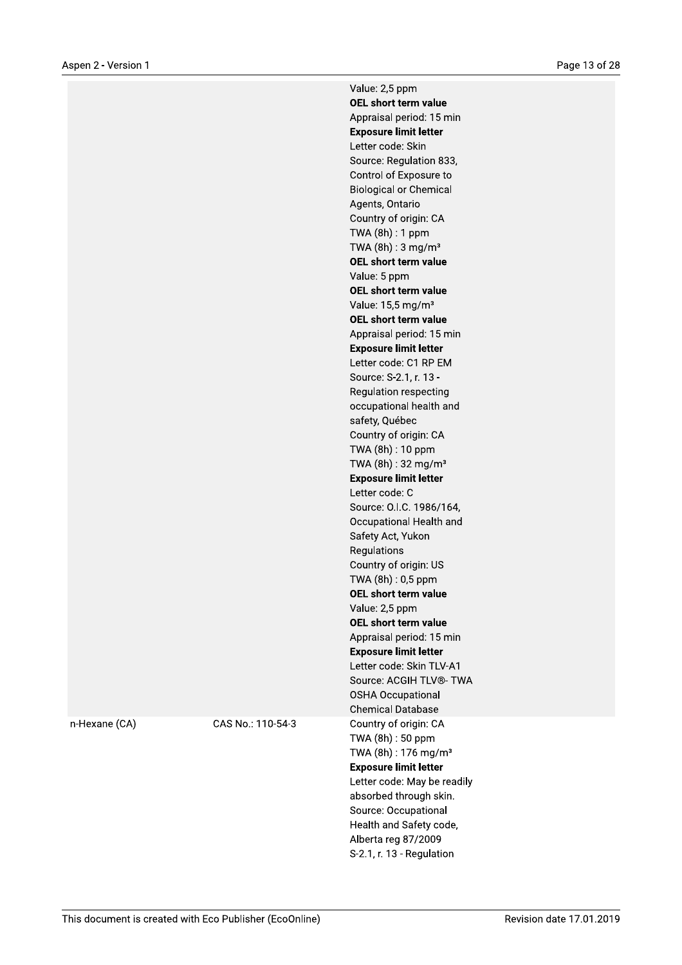Value: 2,5 ppm OEL short term value Appraisal period: 15 min **Exposure limit letter** Letter code: Skin Source: Regulation 833, Control of Exposure to **Biological or Chemical** Agents, Ontario Country of origin: CA TWA (8h) : 1 ppm TWA  $(8h)$ : 3 mg/m<sup>3</sup> OEL short term value Value: 5 ppm OEL short term value Value: 15,5 mg/m<sup>3</sup> OEL short term value Appraisal period: 15 min **Exposure limit letter** Letter code: C1 RP EM Source: S-2.1, r. 13 -Regulation respecting occupational health and safety, Québec Country of origin: CA TWA (8h): 10 ppm TWA (8h): 32 mg/m<sup>3</sup> **Exposure limit letter** Letter code: C Source: O.I.C. 1986/164, Occupational Health and Safety Act, Yukon Regulations Country of origin: US TWA (8h): 0,5 ppm OEL short term value Value: 2,5 ppm OEL short term value Appraisal period: 15 min **Exposure limit letter** Letter code: Skin TLV-A1 Source: ACGIH TLV®- TWA **OSHA Occupational Chemical Database** Country of origin: CA TWA (8h): 50 ppm TWA (8h): 176 mg/m<sup>3</sup> **Exposure limit letter** Letter code: May be readily absorbed through skin. Source: Occupational Health and Safety code, Alberta reg 87/2009 S-2.1, r. 13 - Regulation

n-Hexane (CA)

CAS No.: 110-54-3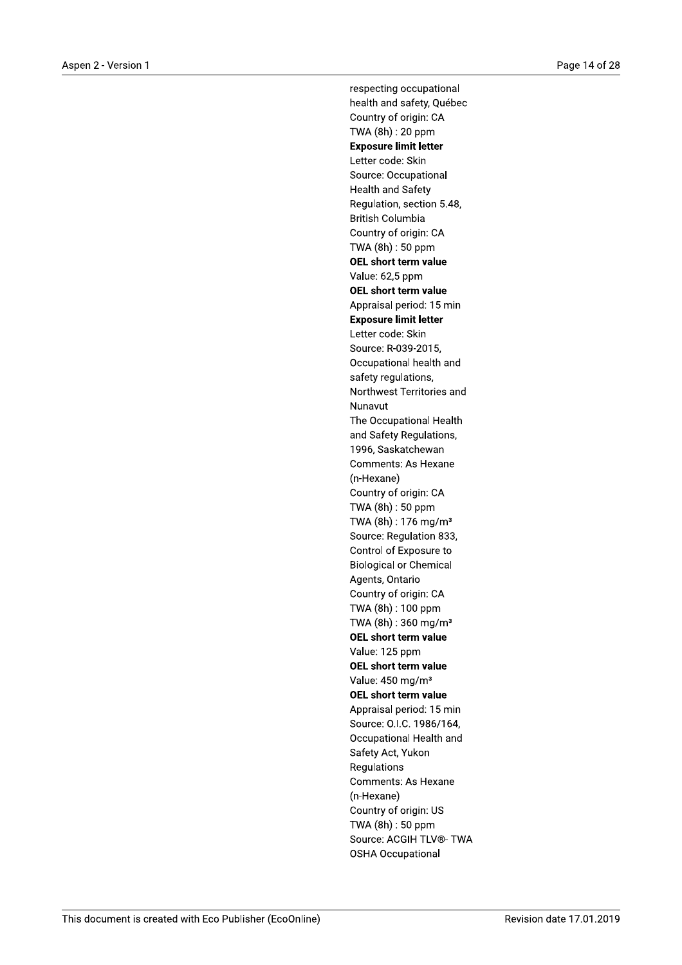respecting occupational health and safety, Québec Country of origin: CA TWA (8h): 20 ppm **Exposure limit letter** Letter code: Skin Source: Occupational **Health and Safety** Regulation, section 5.48, **British Columbia** Country of origin: CA TWA (8h): 50 ppm **OEL short term value** Value: 62,5 ppm OEL short term value Appraisal period: 15 min **Exposure limit letter** Letter code: Skin Source: R-039-2015. Occupational health and safety regulations, Northwest Territories and Nunavut The Occupational Health and Safety Regulations, 1996, Saskatchewan Comments: As Hexane (n-Hexane) Country of origin: CA TWA (8h): 50 ppm TWA (8h): 176 mg/m<sup>3</sup> Source: Regulation 833, Control of Exposure to **Biological or Chemical** Agents, Ontario Country of origin: CA TWA (8h): 100 ppm TWA (8h): 360 mg/m<sup>3</sup> OEL short term value Value: 125 ppm OEL short term value Value: 450 mg/m<sup>3</sup> **OEL short term value** Appraisal period: 15 min Source: O.I.C. 1986/164, Occupational Health and Safety Act, Yukon Regulations **Comments: As Hexane** (n-Hexane) Country of origin: US TWA (8h): 50 ppm Source: ACGIH TLV®- TWA **OSHA Occupational**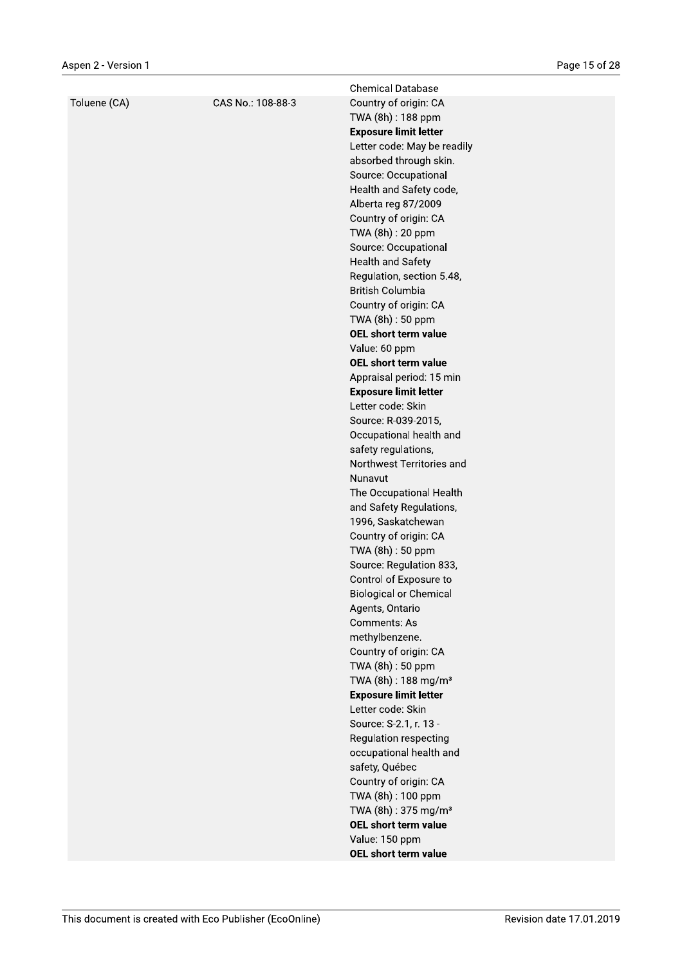|              |                   | <b>Chemical Database</b>                 |
|--------------|-------------------|------------------------------------------|
| Toluene (CA) | CAS No.: 108-88-3 | Country of origin: CA                    |
|              |                   | TWA (8h) : 188 ppm                       |
|              |                   | <b>Exposure limit letter</b>             |
|              |                   | Letter code: May be readily              |
|              |                   | absorbed through skin.                   |
|              |                   | Source: Occupational                     |
|              |                   | Health and Safety code,                  |
|              |                   | Alberta reg 87/2009                      |
|              |                   | Country of origin: CA                    |
|              |                   | TWA (8h): 20 ppm                         |
|              |                   | Source: Occupational                     |
|              |                   | <b>Health and Safety</b>                 |
|              |                   | Regulation, section 5.48,                |
|              |                   | <b>British Columbia</b>                  |
|              |                   | Country of origin: CA                    |
|              |                   | TWA (8h): 50 ppm<br>OEL short term value |
|              |                   | Value: 60 ppm                            |
|              |                   | OEL short term value                     |
|              |                   | Appraisal period: 15 min                 |
|              |                   | <b>Exposure limit letter</b>             |
|              |                   | Letter code: Skin                        |
|              |                   | Source: R-039-2015,                      |
|              |                   | Occupational health and                  |
|              |                   | safety regulations,                      |
|              |                   | Northwest Territories and                |
|              |                   | Nunavut                                  |
|              |                   | The Occupational Health                  |
|              |                   | and Safety Regulations,                  |
|              |                   | 1996, Saskatchewan                       |
|              |                   | Country of origin: CA                    |
|              |                   | TWA (8h): 50 ppm                         |
|              |                   | Source: Regulation 833,                  |
|              |                   | Control of Exposure to                   |
|              |                   | <b>Biological or Chemical</b>            |
|              |                   | Agents, Ontario<br>Comments: As          |
|              |                   | methylbenzene.                           |
|              |                   | Country of origin: CA                    |
|              |                   | TWA (8h) : 50 ppm                        |
|              |                   | TWA (8h) : 188 mg/m <sup>3</sup>         |
|              |                   | <b>Exposure limit letter</b>             |
|              |                   | Letter code: Skin                        |
|              |                   | Source: S-2.1, r. 13 -                   |
|              |                   | Regulation respecting                    |
|              |                   | occupational health and                  |
|              |                   | safety, Québec                           |
|              |                   | Country of origin: CA                    |
|              |                   | TWA (8h): 100 ppm                        |
|              |                   | TWA (8h): 375 mg/m <sup>3</sup>          |
|              |                   | OEL short term value                     |
|              |                   | Value: 150 ppm                           |
|              |                   | OEL short term value                     |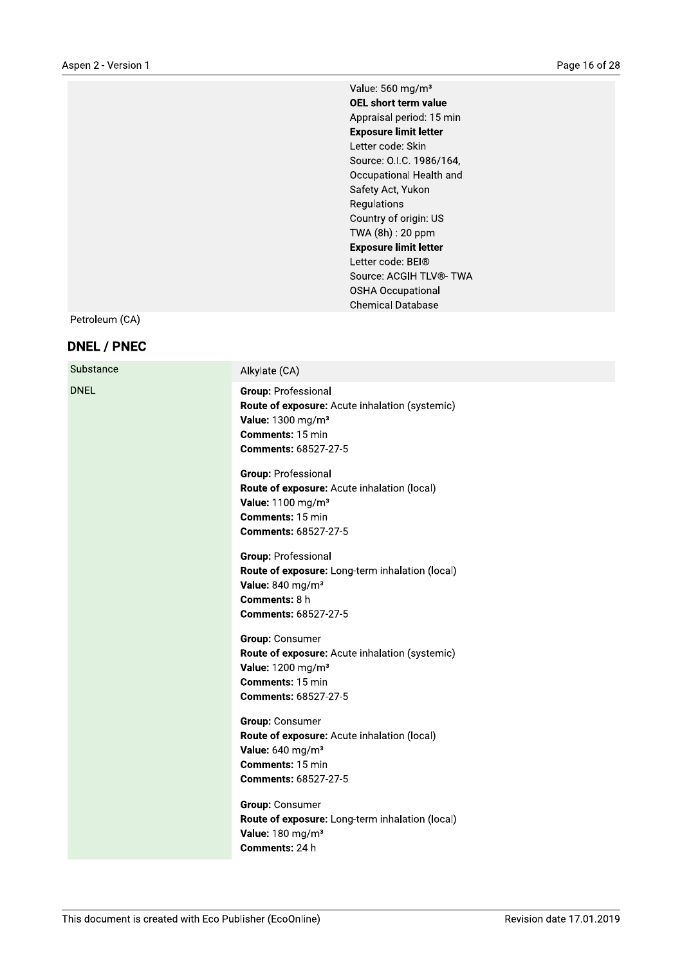Value: 560 mg/m<sup>3</sup> OEL short term value Appraisal period: 15 min **Exposure limit letter** Letter code: Skin Source: O.I.C. 1986/164, Occupational Health and Safety Act, Yukon Regulations Country of origin: US TWA (8h): 20 ppm **Exposure limit letter** Letter code: BEI<sup>®</sup> Source: ACGIH TLV®- TWA **OSHA Occupational Chemical Database** 

Petroleum (CA)

#### **DNEL / PNEC**

| Substance   | Alkylate (CA)                                                                                                                                             |
|-------------|-----------------------------------------------------------------------------------------------------------------------------------------------------------|
| <b>DNEL</b> | <b>Group: Professional</b><br>Route of exposure: Acute inhalation (systemic)<br>Value: 1300 mg/m <sup>3</sup><br>Comments: 15 min<br>Comments: 68527-27-5 |
|             | Group: Professional<br>Route of exposure: Acute inhalation (local)<br>Value: 1100 mg/m <sup>3</sup><br>Comments: 15 min<br><b>Comments: 68527-27-5</b>    |
|             | Group: Professional<br>Route of exposure: Long-term inhalation (local)<br>Value: 840 mg/m <sup>3</sup><br>Comments: 8 h<br><b>Comments: 68527-27-5</b>    |
|             | Group: Consumer<br>Route of exposure: Acute inhalation (systemic)<br>Value: 1200 mg/m <sup>3</sup><br>Comments: 15 min<br><b>Comments: 68527-27-5</b>     |
|             | Group: Consumer<br>Route of exposure: Acute inhalation (local)<br>Value: 640 mg/m <sup>3</sup><br>Comments: 15 min<br><b>Comments: 68527-27-5</b>         |
|             | <b>Group: Consumer</b><br>Route of exposure: Long-term inhalation (local)<br>Value: 180 mg/m <sup>3</sup><br>Comments: 24 h                               |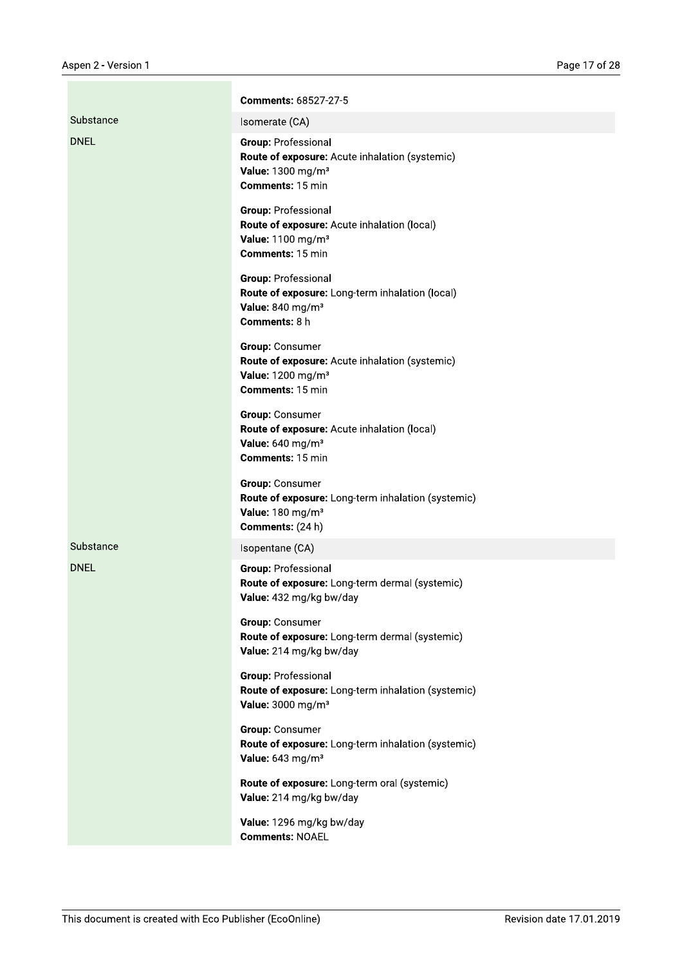|             | Comments: 68527-27-5                                                                                                                  |
|-------------|---------------------------------------------------------------------------------------------------------------------------------------|
| Substance   | Isomerate (CA)                                                                                                                        |
| <b>DNEL</b> | <b>Group: Professional</b><br>Route of exposure: Acute inhalation (systemic)<br>Value: 1300 mg/m <sup>3</sup><br>Comments: 15 min     |
|             | <b>Group: Professional</b><br>Route of exposure: Acute inhalation (local)<br>Value: 1100 mg/m <sup>3</sup><br><b>Comments: 15 min</b> |
|             | <b>Group: Professional</b><br>Route of exposure: Long-term inhalation (local)<br>Value: 840 mg/m <sup>3</sup><br>Comments: 8 h        |
|             | Group: Consumer<br>Route of exposure: Acute inhalation (systemic)<br>Value: 1200 mg/m <sup>3</sup><br><b>Comments: 15 min</b>         |
|             | Group: Consumer<br>Route of exposure: Acute inhalation (local)<br>Value: 640 mg/m <sup>3</sup><br><b>Comments: 15 min</b>             |
|             | Group: Consumer<br>Route of exposure: Long-term inhalation (systemic)<br>Value: 180 mg/m <sup>3</sup><br>Comments: (24 h)             |
| Substance   | Isopentane (CA)                                                                                                                       |
| <b>DNEL</b> | <b>Group: Professional</b><br>Route of exposure: Long-term dermal (systemic)<br>Value: 432 mg/kg bw/day                               |
|             | Group: Consumer<br>Route of exposure: Long-term dermal (systemic)<br>Value: 214 mg/kg bw/day                                          |
|             | Group: Professional<br>Route of exposure: Long-term inhalation (systemic)<br>Value: 3000 mg/m <sup>3</sup>                            |
|             | Group: Consumer<br>Route of exposure: Long-term inhalation (systemic)<br>Value: 643 mg/m <sup>3</sup>                                 |
|             | Route of exposure: Long-term oral (systemic)<br>Value: 214 mg/kg bw/day                                                               |
|             | Value: 1296 mg/kg bw/day<br><b>Comments: NOAEL</b>                                                                                    |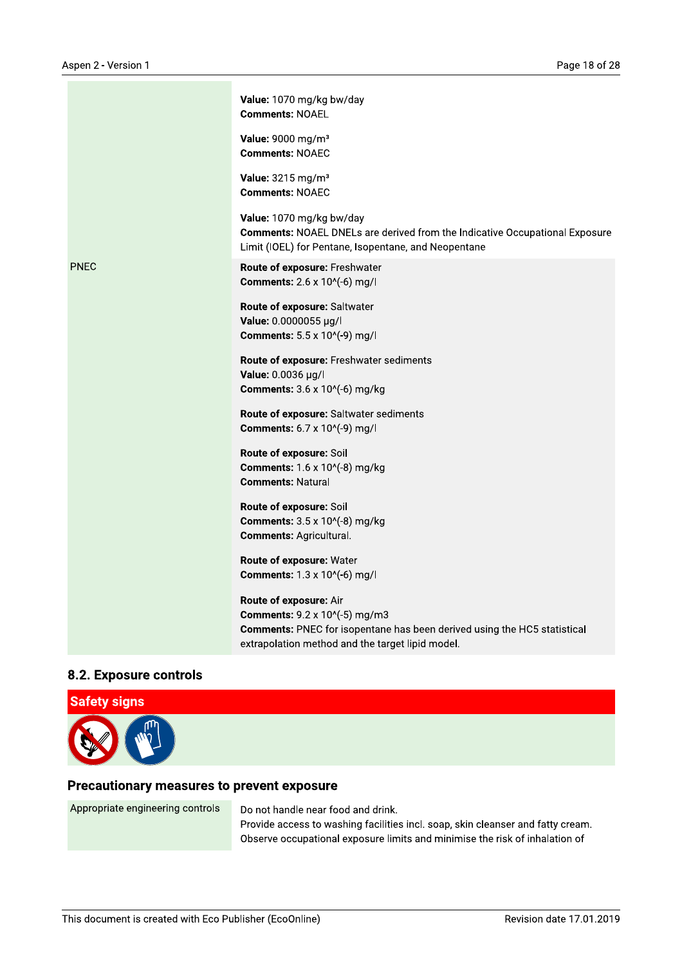|             | Value: 1070 mg/kg bw/day<br><b>Comments: NOAEL</b>                                                                                                                                             |
|-------------|------------------------------------------------------------------------------------------------------------------------------------------------------------------------------------------------|
|             | Value: 9000 mg/m <sup>3</sup><br><b>Comments: NOAEC</b>                                                                                                                                        |
|             | Value: 3215 mg/m <sup>3</sup><br><b>Comments: NOAEC</b>                                                                                                                                        |
|             | Value: 1070 mg/kg bw/day<br><b>Comments: NOAEL DNELs are derived from the Indicative Occupational Exposure</b><br>Limit (IOEL) for Pentane, Isopentane, and Neopentane                         |
| <b>PNEC</b> | Route of exposure: Freshwater<br><b>Comments:</b> 2.6 x 10^(-6) mg/l                                                                                                                           |
|             | Route of exposure: Saltwater<br>Value: 0.0000055 µg/l<br><b>Comments:</b> 5.5 x 10^(-9) mg/l                                                                                                   |
|             | Route of exposure: Freshwater sediments<br>Value: 0.0036 µg/l<br><b>Comments:</b> 3.6 x 10^(-6) mg/kg                                                                                          |
|             | Route of exposure: Saltwater sediments<br><b>Comments:</b> 6.7 x 10^(-9) mg/l                                                                                                                  |
|             | Route of exposure: Soil<br><b>Comments:</b> 1.6 x 10^(-8) mg/kg<br><b>Comments: Natural</b>                                                                                                    |
|             | Route of exposure: Soil<br><b>Comments:</b> 3.5 x 10^(-8) mg/kg<br><b>Comments: Agricultural.</b>                                                                                              |
|             | Route of exposure: Water<br><b>Comments:</b> 1.3 x 10^(-6) mg/l                                                                                                                                |
|             | Route of exposure: Air<br><b>Comments:</b> 9.2 x 10^(-5) mg/m3<br>Comments: PNEC for isopentane has been derived using the HC5 statistical<br>extrapolation method and the target lipid model. |

### 8.2. Exposure controls



#### Precautionary measures to prevent exposure

Appropriate engineering controls

Do not handle near food and drink.

Provide access to washing facilities incl. soap, skin cleanser and fatty cream. Observe occupational exposure limits and minimise the risk of inhalation of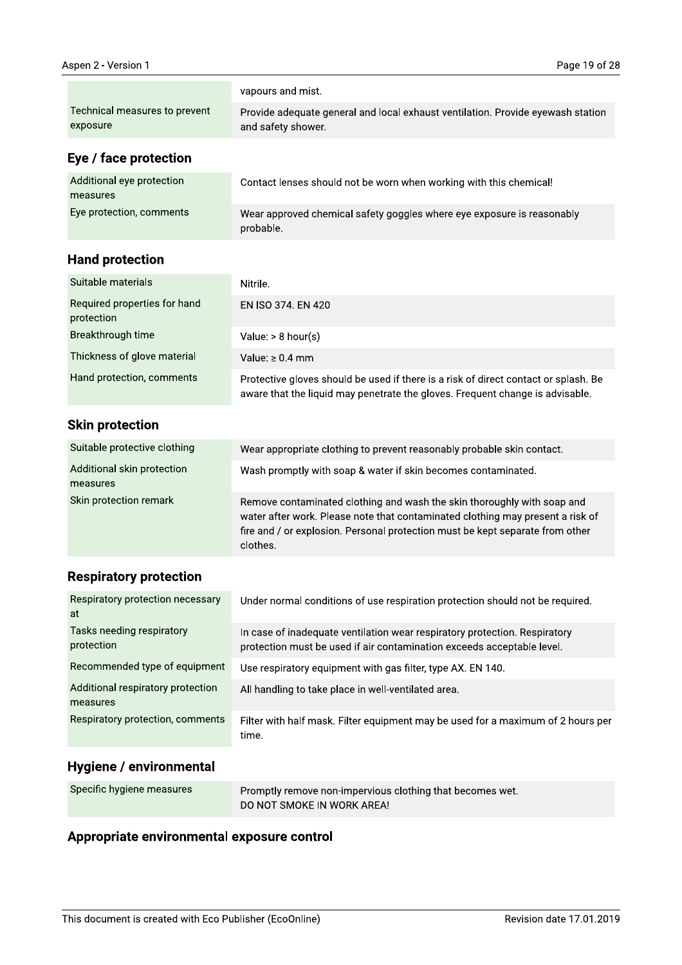|                                            | vapours and mist.                                                                                                                                                                                                                                      |
|--------------------------------------------|--------------------------------------------------------------------------------------------------------------------------------------------------------------------------------------------------------------------------------------------------------|
| Technical measures to prevent<br>exposure  | Provide adequate general and local exhaust ventilation. Provide eyewash station<br>and safety shower.                                                                                                                                                  |
| Eye / face protection                      |                                                                                                                                                                                                                                                        |
| Additional eye protection<br>measures      | Contact lenses should not be worn when working with this chemical!                                                                                                                                                                                     |
| Eye protection, comments                   | Wear approved chemical safety goggles where eye exposure is reasonably<br>probable.                                                                                                                                                                    |
| <b>Hand protection</b>                     |                                                                                                                                                                                                                                                        |
| Suitable materials                         | Nitrile.                                                                                                                                                                                                                                               |
| Required properties for hand<br>protection | EN ISO 374, EN 420                                                                                                                                                                                                                                     |
| Breakthrough time                          | Value: $> 8$ hour(s)                                                                                                                                                                                                                                   |
| Thickness of glove material                | Value: $\geq 0.4$ mm                                                                                                                                                                                                                                   |
| Hand protection, comments                  | Protective gloves should be used if there is a risk of direct contact or splash. Be<br>aware that the liquid may penetrate the gloves. Frequent change is advisable.                                                                                   |
| <b>Skin protection</b>                     |                                                                                                                                                                                                                                                        |
| Suitable protective clothing               | Wear appropriate clothing to prevent reasonably probable skin contact.                                                                                                                                                                                 |
| Additional skin protection<br>measures     | Wash promptly with soap & water if skin becomes contaminated.                                                                                                                                                                                          |
| Skin protection remark                     | Remove contaminated clothing and wash the skin thoroughly with soap and<br>water after work. Please note that contaminated clothing may present a risk of<br>fire and / or explosion. Personal protection must be kept separate from other<br>clothes. |

# **Respiratory protection**

| Respiratory protection necessary<br>at        | Under normal conditions of use respiration protection should not be required.                                                                        |
|-----------------------------------------------|------------------------------------------------------------------------------------------------------------------------------------------------------|
| Tasks needing respiratory<br>protection       | In case of inadequate ventilation wear respiratory protection. Respiratory<br>protection must be used if air contamination exceeds acceptable level. |
| Recommended type of equipment                 | Use respiratory equipment with gas filter, type AX. EN 140.                                                                                          |
| Additional respiratory protection<br>measures | All handling to take place in well-ventilated area.                                                                                                  |
| Respiratory protection, comments              | Filter with half mask. Filter equipment may be used for a maximum of 2 hours per<br>time.                                                            |

# Hygiene / environmental

| Specific hygiene measures | Promptly remove non-impervious clothing that becomes wet. |
|---------------------------|-----------------------------------------------------------|
|                           | DO NOT SMOKE IN WORK AREA!                                |

# Appropriate environmental exposure control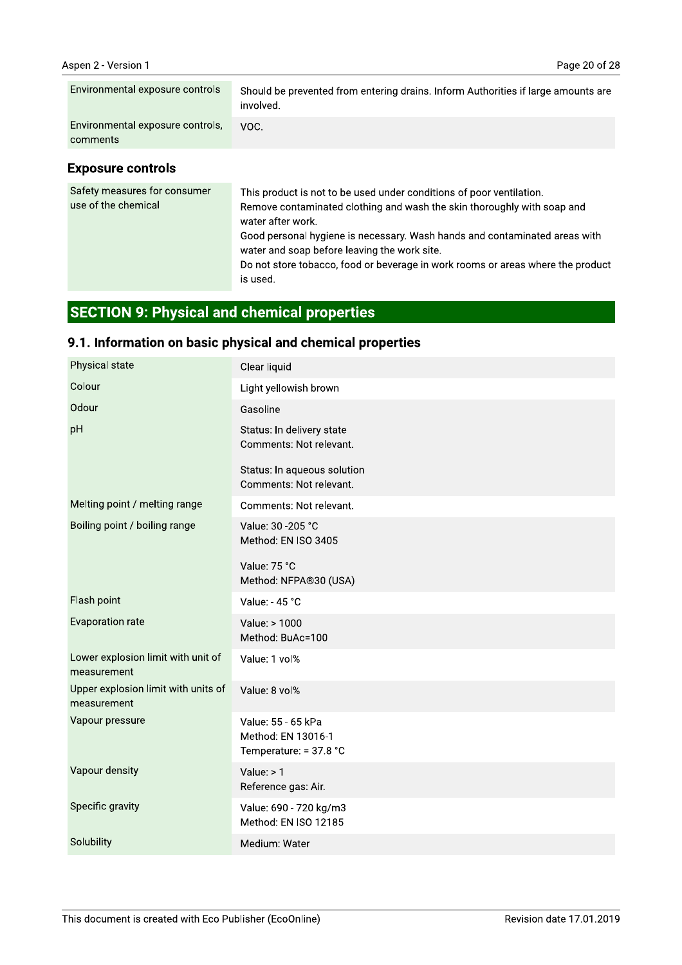| Environmental exposure controls              | Should be prevented from entering drains. Inform Authorities if large amounts are<br>involved. |
|----------------------------------------------|------------------------------------------------------------------------------------------------|
| Environmental exposure controls,<br>comments | VOC.                                                                                           |

#### **Exposure controls**

| Safety measures for consumer<br>use of the chemical | This product is not to be used under conditions of poor ventilation.<br>Remove contaminated clothing and wash the skin thoroughly with soap and<br>water after work.<br>Good personal hygiene is necessary. Wash hands and contaminated areas with<br>water and soap before leaving the work site.<br>Do not store tobacco, food or beverage in work rooms or areas where the product<br>is used. |
|-----------------------------------------------------|---------------------------------------------------------------------------------------------------------------------------------------------------------------------------------------------------------------------------------------------------------------------------------------------------------------------------------------------------------------------------------------------------|
|-----------------------------------------------------|---------------------------------------------------------------------------------------------------------------------------------------------------------------------------------------------------------------------------------------------------------------------------------------------------------------------------------------------------------------------------------------------------|

# **SECTION 9: Physical and chemical properties**

# 9.1. Information on basic physical and chemical properties

| Physical state                                     | Clear liquid                                                       |
|----------------------------------------------------|--------------------------------------------------------------------|
| Colour                                             | Light yellowish brown                                              |
| Odour                                              | Gasoline                                                           |
| pH                                                 | Status: In delivery state<br>Comments: Not relevant.               |
|                                                    | Status: In aqueous solution<br>Comments: Not relevant.             |
| Melting point / melting range                      | Comments: Not relevant.                                            |
| Boiling point / boiling range                      | Value: 30 - 205 °C<br>Method: EN ISO 3405                          |
|                                                    | Value: 75 °C<br>Method: NFPA®30 (USA)                              |
| Flash point                                        | Value: - 45 °C                                                     |
| Evaporation rate                                   | Value: > 1000<br>Method: BuAc=100                                  |
| Lower explosion limit with unit of<br>measurement  | Value: 1 vol%                                                      |
| Upper explosion limit with units of<br>measurement | Value: 8 vol%                                                      |
| Vapour pressure                                    | Value: 55 - 65 kPa<br>Method: EN 13016-1<br>Temperature: = 37.8 °C |
| Vapour density                                     | Value: $> 1$<br>Reference gas: Air.                                |
| Specific gravity                                   | Value: 690 - 720 kg/m3<br>Method: EN ISO 12185                     |
| Solubility                                         | Medium: Water                                                      |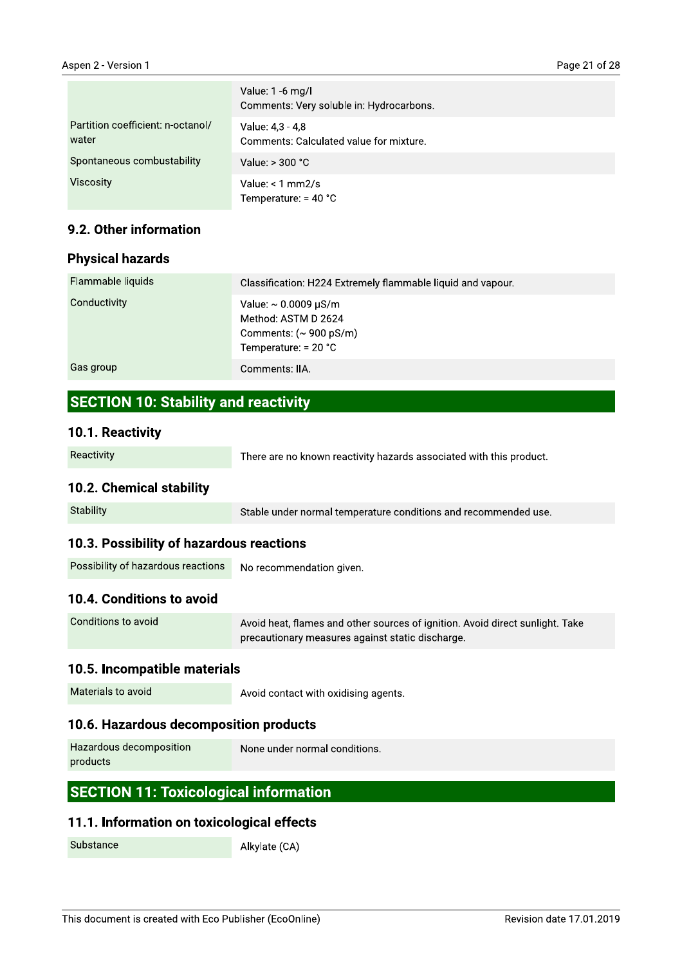|                                            | Value: 1 -6 mg/l<br>Comments: Very soluble in: Hydrocarbons. |
|--------------------------------------------|--------------------------------------------------------------|
| Partition coefficient: n-octanol/<br>water | Value: 4,3 - 4,8<br>Comments: Calculated value for mixture.  |
| Spontaneous combustability                 | Value: $> 300 °C$                                            |
| <b>Viscosity</b>                           | Value: $< 1$ mm2/s<br>Temperature: $=$ 40 °C                 |

#### 9.2. Other information

#### **Physical hazards**

| Flammable liquids | Classification: H224 Extremely flammable liquid and vapour.                                                                     |
|-------------------|---------------------------------------------------------------------------------------------------------------------------------|
| Conductivity      | Value: $\sim 0.0009 \mu\text{S/m}$<br>Method: ASTM D 2624<br>Comments: $({\sim} 900 \,\mathrm{pS/m})$<br>Temperature: $= 20 °C$ |
| Gas group         | Comments: IIA.                                                                                                                  |

## **SECTION 10: Stability and reactivity**

#### 10.1. Reactivity

| Reactivity | There are no known reactivity hazards associated with this product. |
|------------|---------------------------------------------------------------------|
|------------|---------------------------------------------------------------------|

#### 10.2. Chemical stability

Stability Stable under normal temperature conditions and recommended use.

### 10.3. Possibility of hazardous reactions

| Possibility of hazardous reactions | No recommendation given. |
|------------------------------------|--------------------------|
|------------------------------------|--------------------------|

#### 10.4. Conditions to avoid

| Conditions to avoid | Avoid heat, flames and other sources of ignition. Avoid direct sunlight. Take |
|---------------------|-------------------------------------------------------------------------------|
|                     | $\,$ precautionary measures against static discharge. $\,$                    |

#### 10.5. Incompatible materials

Materials to avoid

Avoid contact with oxidising agents.

#### 10.6. Hazardous decomposition products

| Hazardous decomposition | $\land$ None under normal conditions. $\land$ |
|-------------------------|-----------------------------------------------|
| products                |                                               |

## **SECTION 11: Toxicological information**

## 11.1. Information on toxicological effects

Substance

Alkylate (CA)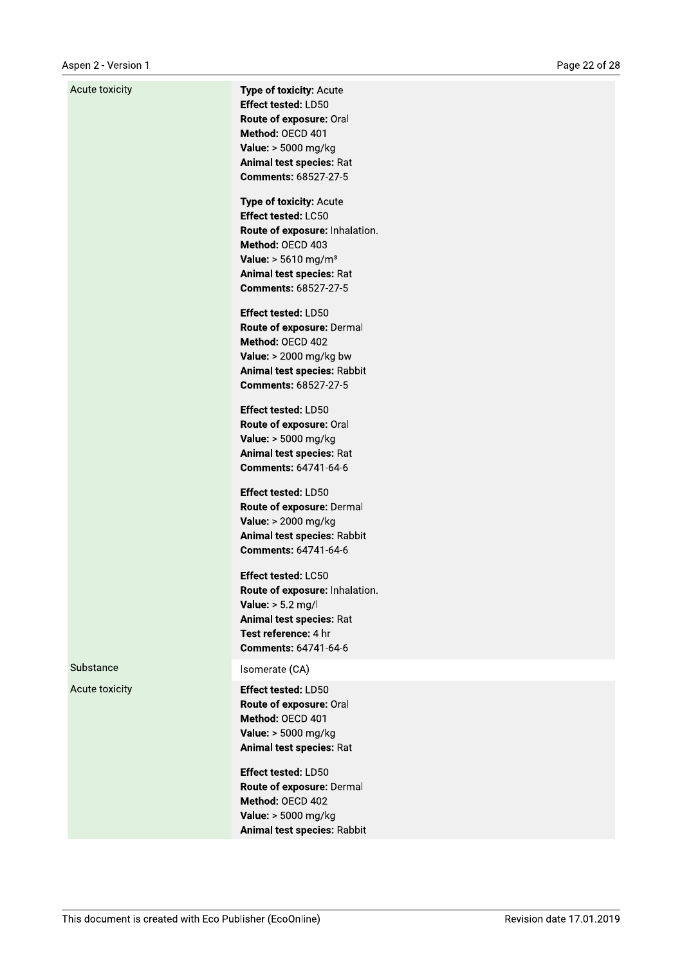| Acute toxicity | Type of toxicity: Acute<br><b>Effect tested: LD50</b><br>Route of exposure: Oral<br>Method: OECD 401<br>Value: > 5000 mg/kg<br>Animal test species: Rat<br><b>Comments: 68527-27-5</b>                             |
|----------------|--------------------------------------------------------------------------------------------------------------------------------------------------------------------------------------------------------------------|
|                | Type of toxicity: Acute<br><b>Effect tested: LC50</b><br>Route of exposure: Inhalation.<br>Method: OECD 403<br><b>Value:</b> $> 5610$ mg/m <sup>3</sup><br>Animal test species: Rat<br><b>Comments: 68527-27-5</b> |
|                | <b>Effect tested: LD50</b><br>Route of exposure: Dermal<br>Method: OECD 402<br>Value: $> 2000$ mg/kg bw<br>Animal test species: Rabbit<br><b>Comments: 68527-27-5</b>                                              |
|                | Effect tested: LD50<br>Route of exposure: Oral<br>Value: > 5000 mg/kg<br>Animal test species: Rat<br>Comments: 64741-64-6                                                                                          |
|                | Effect tested: LD50<br>Route of exposure: Dermal<br>Value: > 2000 mg/kg<br>Animal test species: Rabbit<br>Comments: 64741-64-6                                                                                     |
|                | Effect tested: LC50<br>Route of exposure: Inhalation.<br>Value: $> 5.2$ mg/l<br>Animal test species: Rat<br>Test reference: 4 hr<br>Comments: 64741-64-6                                                           |
| Substance      | Isomerate (CA)                                                                                                                                                                                                     |
| Acute toxicity | Effect tested: LD50<br>Route of exposure: Oral<br>Method: OECD 401<br>Value: > 5000 mg/kg<br>Animal test species: Rat                                                                                              |
|                | Effect tested: LD50<br>Route of exposure: Dermal<br>Method: OECD 402<br>Value: > 5000 mg/kg<br>Animal test species: Rabbit                                                                                         |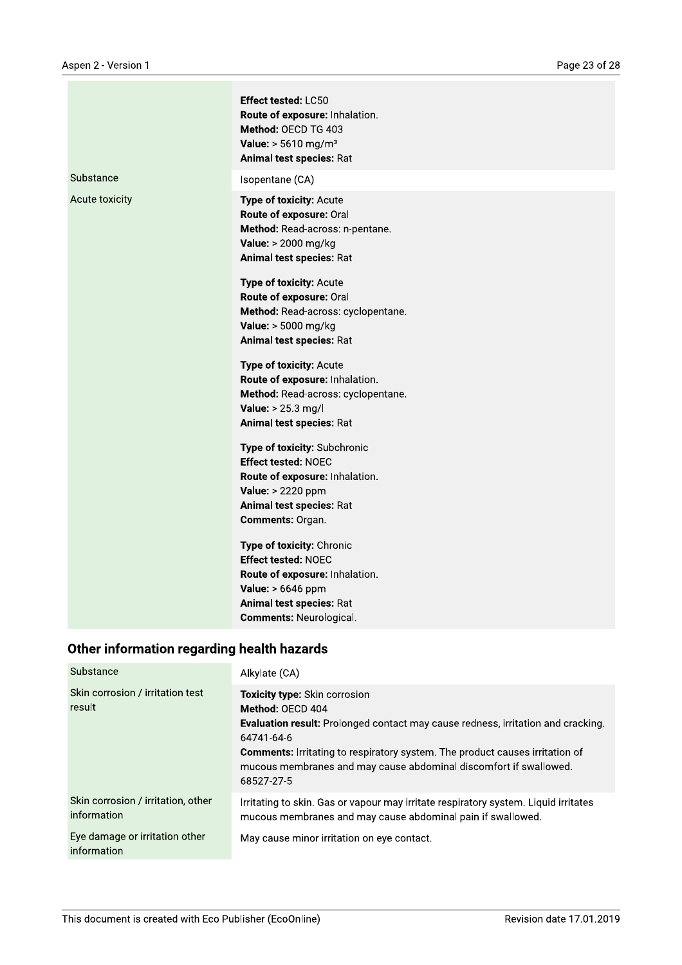|                | Effect tested: LC50<br>Route of exposure: Inhalation.<br>Method: OECD TG 403<br><b>Value:</b> $> 5610$ mg/m <sup>3</sup><br><b>Animal test species: Rat</b>                         |
|----------------|-------------------------------------------------------------------------------------------------------------------------------------------------------------------------------------|
| Substance      | Isopentane (CA)                                                                                                                                                                     |
| Acute toxicity | Type of toxicity: Acute<br>Route of exposure: Oral<br>Method: Read-across: n-pentane.<br>Value: > 2000 mg/kg<br>Animal test species: Rat                                            |
|                | Type of toxicity: Acute<br>Route of exposure: Oral<br>Method: Read-across: cyclopentane.<br>Value: > 5000 mg/kg<br>Animal test species: Rat                                         |
|                | Type of toxicity: Acute<br>Route of exposure: Inhalation.<br>Method: Read-across: cyclopentane.<br>Value: > 25.3 mg/l<br>Animal test species: Rat                                   |
|                | Type of toxicity: Subchronic<br><b>Effect tested: NOEC</b><br>Route of exposure: Inhalation.<br>Value: > 2220 ppm<br>Animal test species: Rat<br>Comments: Organ.                   |
|                | Type of toxicity: Chronic<br><b>Effect tested: NOEC</b><br>Route of exposure: Inhalation.<br><b>Value:</b> > 6646 ppm<br>Animal test species: Rat<br><b>Comments: Neurological.</b> |

# Other information regarding health hazards

| Substance                                         | Alkylate (CA)                                                                                                                                                                                                                                                                                                                        |
|---------------------------------------------------|--------------------------------------------------------------------------------------------------------------------------------------------------------------------------------------------------------------------------------------------------------------------------------------------------------------------------------------|
| Skin corrosion / irritation test<br>result        | Toxicity type: Skin corrosion<br>Method: OECD 404<br><b>Evaluation result:</b> Prolonged contact may cause redness, irritation and cracking.<br>64741-64-6<br><b>Comments:</b> Irritating to respiratory system. The product causes irritation of<br>mucous membranes and may cause abdominal discomfort if swallowed.<br>68527-27-5 |
| Skin corrosion / irritation, other<br>information | Irritating to skin. Gas or vapour may irritate respiratory system. Liquid irritates<br>mucous membranes and may cause abdominal pain if swallowed.                                                                                                                                                                                   |
| Eye damage or irritation other<br>information     | May cause minor irritation on eye contact.                                                                                                                                                                                                                                                                                           |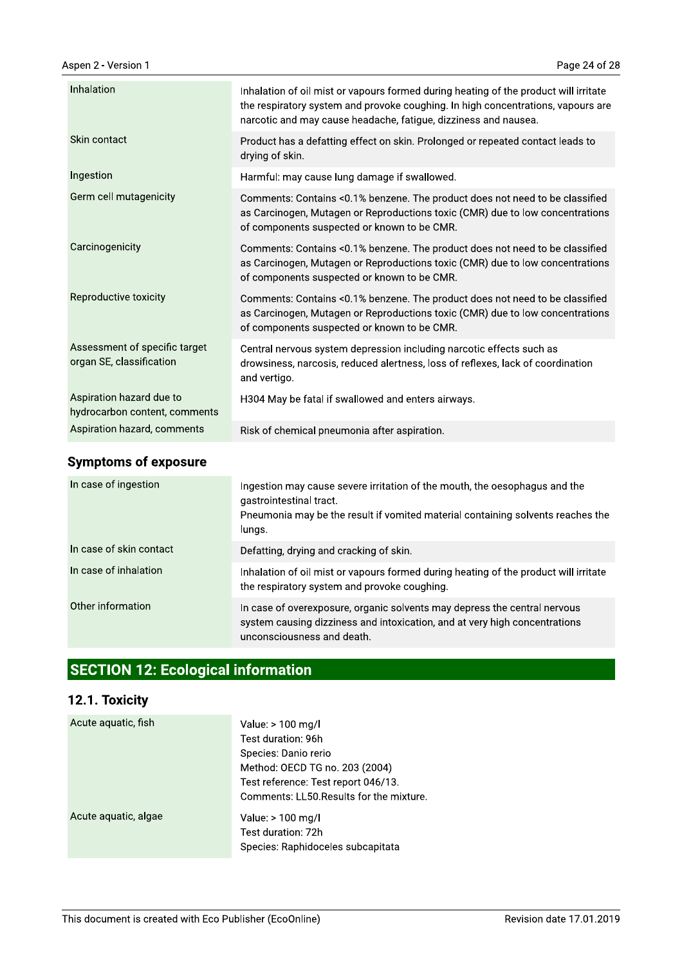| Inhalation                                                | Inhalation of oil mist or vapours formed during heating of the product will irritate                                                                                                                         |
|-----------------------------------------------------------|--------------------------------------------------------------------------------------------------------------------------------------------------------------------------------------------------------------|
|                                                           | the respiratory system and provoke coughing. In high concentrations, vapours are<br>narcotic and may cause headache, fatigue, dizziness and nausea.                                                          |
| Skin contact                                              | Product has a defatting effect on skin. Prolonged or repeated contact leads to<br>drying of skin.                                                                                                            |
| Ingestion                                                 | Harmful: may cause lung damage if swallowed.                                                                                                                                                                 |
| Germ cell mutagenicity                                    | Comments: Contains <0.1% benzene. The product does not need to be classified<br>as Carcinogen, Mutagen or Reproductions toxic (CMR) due to low concentrations<br>of components suspected or known to be CMR. |
| Carcinogenicity                                           | Comments: Contains <0.1% benzene. The product does not need to be classified<br>as Carcinogen, Mutagen or Reproductions toxic (CMR) due to low concentrations<br>of components suspected or known to be CMR. |
| Reproductive toxicity                                     | Comments: Contains <0.1% benzene. The product does not need to be classified<br>as Carcinogen, Mutagen or Reproductions toxic (CMR) due to low concentrations<br>of components suspected or known to be CMR. |
| Assessment of specific target<br>organ SE, classification | Central nervous system depression including narcotic effects such as<br>drowsiness, narcosis, reduced alertness, loss of reflexes, lack of coordination<br>and vertigo.                                      |
| Aspiration hazard due to<br>hydrocarbon content, comments | H304 May be fatal if swallowed and enters airways.                                                                                                                                                           |
| Aspiration hazard, comments                               | Risk of chemical pneumonia after aspiration.                                                                                                                                                                 |

# **Symptoms of exposure**

| In case of ingestion    | Ingestion may cause severe irritation of the mouth, the oesophagus and the<br>gastrointestinal tract.<br>Pneumonia may be the result if vomited material containing solvents reaches the<br>lungs. |
|-------------------------|----------------------------------------------------------------------------------------------------------------------------------------------------------------------------------------------------|
| In case of skin contact | Defatting, drying and cracking of skin.                                                                                                                                                            |
| In case of inhalation   | Inhalation of oil mist or vapours formed during heating of the product will irritate<br>the respiratory system and provoke coughing.                                                               |
| Other information       | In case of overexposure, organic solvents may depress the central nervous<br>system causing dizziness and intoxication, and at very high concentrations<br>unconsciousness and death.              |

# **SECTION 12: Ecological information**

# 12.1. Toxicity

| Acute aquatic, fish  | Value: > 100 mg/l<br>Test duration: 96h<br>Species: Danio rerio<br>Method: OECD TG no. 203 (2004)<br>Test reference: Test report 046/13.<br>Comments: LL50. Results for the mixture. |
|----------------------|--------------------------------------------------------------------------------------------------------------------------------------------------------------------------------------|
| Acute aquatic, algae | Value: > 100 mg/l<br>Test duration: 72h<br>Species: Raphidoceles subcapitata                                                                                                         |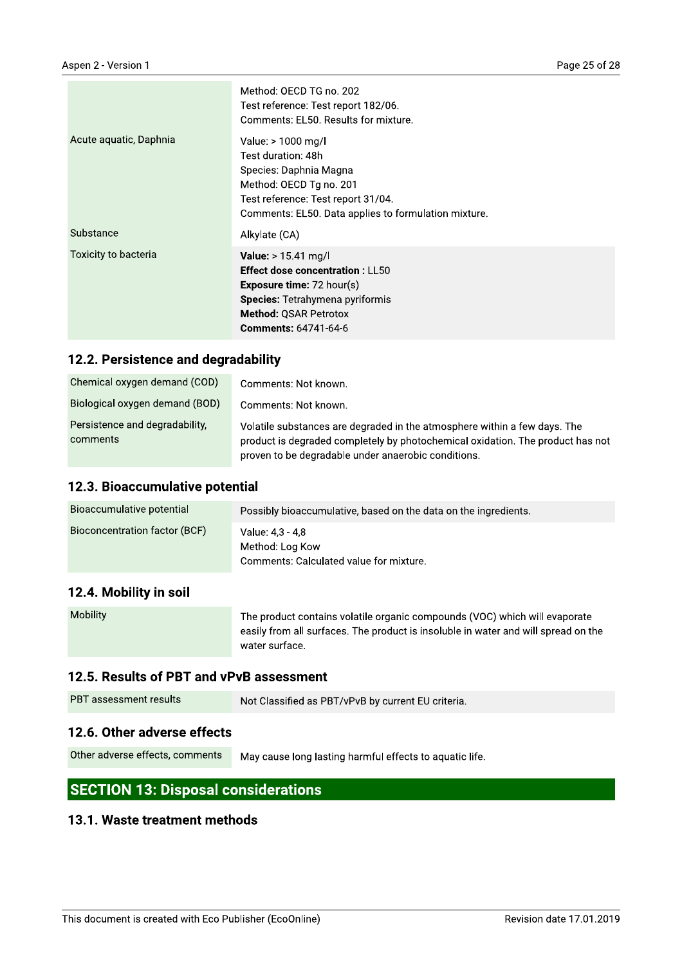|                        | Method: OECD TG no. 202<br>Test reference: Test report 182/06.<br>Comments: EL50. Results for mixture.                                                                                                                |
|------------------------|-----------------------------------------------------------------------------------------------------------------------------------------------------------------------------------------------------------------------|
| Acute aquatic, Daphnia | Value: > 1000 mg/l<br>Test duration: 48h<br>Species: Daphnia Magna<br>Method: OECD Tg no. 201<br>Test reference: Test report 31/04.<br>Comments: EL50. Data applies to formulation mixture.                           |
| Substance              | Alkylate (CA)                                                                                                                                                                                                         |
| Toxicity to bacteria   | <b>Value:</b> $> 15.41$ mg/l<br><b>Effect dose concentration: LL50</b><br><b>Exposure time:</b> $72$ hour(s)<br><b>Species:</b> Tetrahymena pyriformis<br><b>Method: QSAR Petrotox</b><br><b>Comments: 64741-64-6</b> |

### 12.2. Persistence and degradability

| Chemical oxygen demand (COD)               | Comments: Not known.                                                                                                                                                                                               |
|--------------------------------------------|--------------------------------------------------------------------------------------------------------------------------------------------------------------------------------------------------------------------|
| Biological oxygen demand (BOD)             | Comments: Not known.                                                                                                                                                                                               |
| Persistence and degradability,<br>comments | Volatile substances are degraded in the atmosphere within a few days. The<br>product is degraded completely by photochemical oxidation. The product has not<br>proven to be degradable under anaerobic conditions. |

#### 12.3. Bioaccumulative potential

| Bioaccumulative potential                                                                                                                                                                                                                                                                                                                                                            | Possibly bioaccumulative, based on the data on the ingredients.                |
|--------------------------------------------------------------------------------------------------------------------------------------------------------------------------------------------------------------------------------------------------------------------------------------------------------------------------------------------------------------------------------------|--------------------------------------------------------------------------------|
| Bioconcentration factor (BCF)                                                                                                                                                                                                                                                                                                                                                        | Value: 4.3 - 4.8<br>Method: Log Kow<br>Comments: Calculated value for mixture. |
| $\overline{A}$ $\overline{A}$ $\overline{A}$ $\overline{A}$ $\overline{A}$ $\overline{A}$ $\overline{A}$ $\overline{A}$ $\overline{A}$ $\overline{A}$ $\overline{A}$ $\overline{A}$ $\overline{A}$ $\overline{A}$ $\overline{A}$ $\overline{A}$ $\overline{A}$ $\overline{A}$ $\overline{A}$ $\overline{A}$ $\overline{A}$ $\overline{A}$ $\overline{A}$ $\overline{A}$ $\overline{$ |                                                                                |

#### 12.4. Mobility in soil

| <b>Mobility</b> | The product contains volatile organic compounds (VOC) which will evaporate         |
|-----------------|------------------------------------------------------------------------------------|
|                 | easily from all surfaces. The product is insoluble in water and will spread on the |
|                 | water surface.                                                                     |

#### 12.5. Results of PBT and vPvB assessment

| <b>PBT</b> assessment results | Not Classified as PBT/vPvB by current EU criteria. |
|-------------------------------|----------------------------------------------------|
|                               |                                                    |

#### 12.6. Other adverse effects

Other adverse effects, comments May cause long lasting harmful effects to aquatic life.

# **SECTION 13: Disposal considerations**

#### 13.1. Waste treatment methods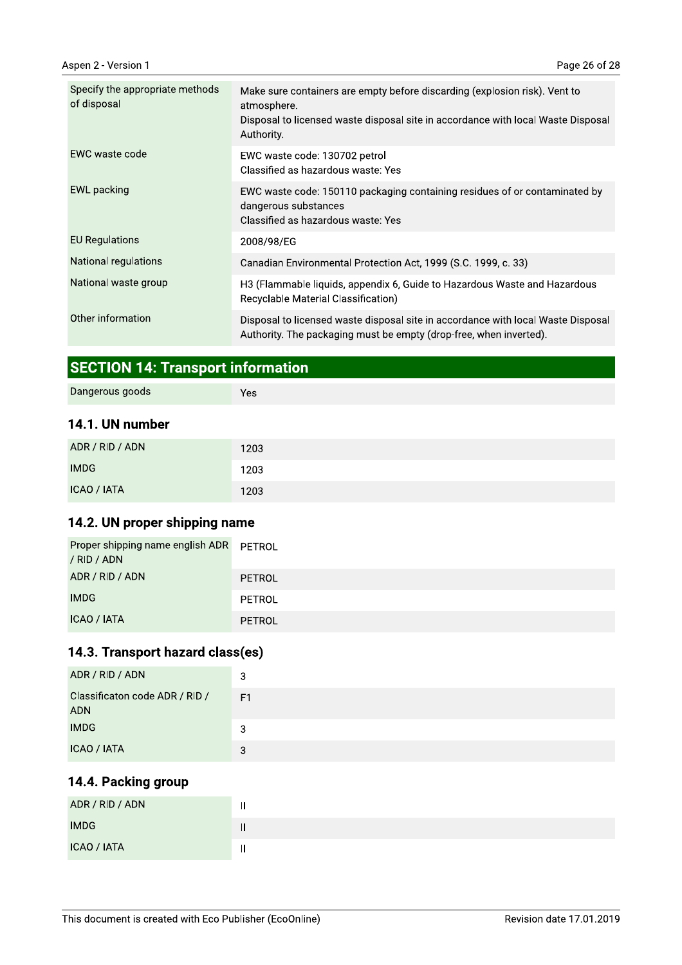| Specify the appropriate methods<br>of disposal | Make sure containers are empty before discarding (explosion risk). Vent to<br>atmosphere.<br>Disposal to licensed waste disposal site in accordance with local Waste Disposal<br>Authority. |
|------------------------------------------------|---------------------------------------------------------------------------------------------------------------------------------------------------------------------------------------------|
| EWC waste code                                 | EWC waste code: 130702 petrol<br>Classified as hazardous waste: Yes                                                                                                                         |
| EWL packing                                    | EWC waste code: 150110 packaging containing residues of or contaminated by<br>dangerous substances<br>Classified as hazardous waste: Yes                                                    |
| <b>EU Regulations</b>                          | 2008/98/EG                                                                                                                                                                                  |
| National regulations                           | Canadian Environmental Protection Act, 1999 (S.C. 1999, c. 33)                                                                                                                              |
| National waste group                           | H3 (Flammable liquids, appendix 6, Guide to Hazardous Waste and Hazardous<br>Recyclable Material Classification)                                                                            |
| Other information                              | Disposal to licensed waste disposal site in accordance with local Waste Disposal<br>Authority. The packaging must be empty (drop-free, when inverted).                                      |

# **SECTION 14: Transport information**

| Dangerous goods | Yes |
|-----------------|-----|
| 14.1. UN number |     |

| ADR / RID / ADN | 1203 |
|-----------------|------|
| <b>IMDG</b>     | 1203 |
| ICAO / IATA     | 1203 |

## 14.2. UN proper shipping name

| Proper shipping name english ADR<br>/ RID / ADN | PETROL |
|-------------------------------------------------|--------|
| ADR / RID / ADN                                 | PETROL |
| <b>IMDG</b>                                     | PETROL |
| ICAO / IATA                                     | PETROL |

# 14.3. Transport hazard class(es)

| ADR / RID / ADN                              | 3  |
|----------------------------------------------|----|
| Classificaton code ADR / RID /<br><b>ADN</b> | F1 |
| <b>IMDG</b>                                  | 3  |
| ICAO / IATA                                  | 3  |

## 14.4. Packing group

| ADR / RID / ADN | . . |
|-----------------|-----|
| <b>IMDG</b>     | II  |
| ICAO / IATA     |     |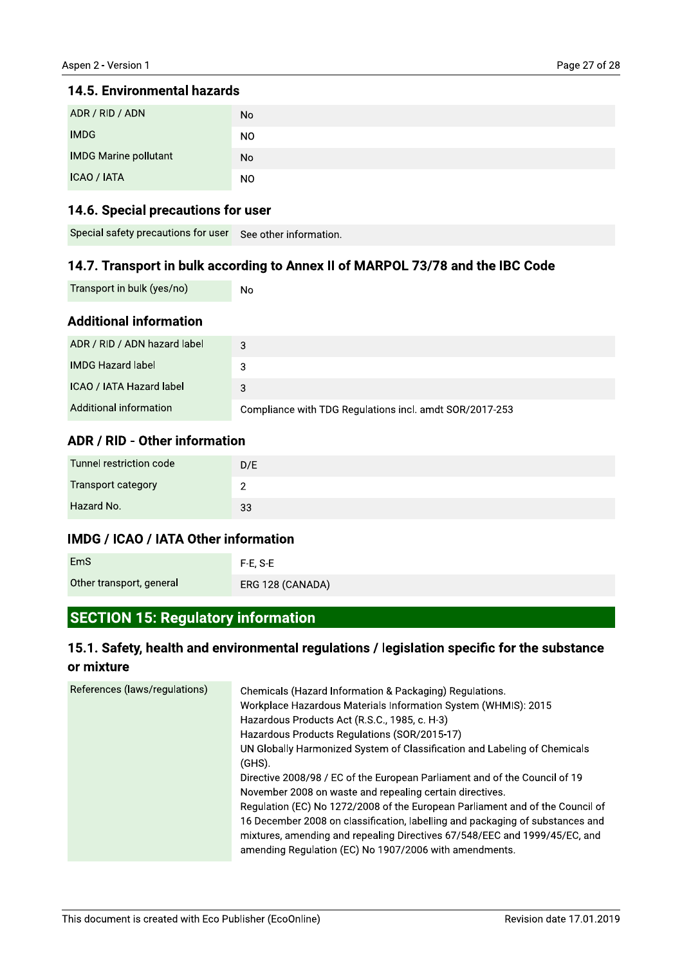# 14.5. Environmental nazards

| ADR / RID / ADN                     | No                     |
|-------------------------------------|------------------------|
| <b>IMDG</b>                         | NO.                    |
| <b>IMDG Marine pollutant</b>        | No                     |
| ICAO / IATA                         | NO.                    |
| 14.6. Special precautions for user  |                        |
| Special safety precautions for user | See other information. |

# 14.6. Special precautions for user

| Special safety precautions for user See other information. |  |
|------------------------------------------------------------|--|
|------------------------------------------------------------|--|

# 14.7. Transport in buik according to Annex II of MARPOL 73/78 and the IBC Code

| Transport in bulk (yes/no) | N |
|----------------------------|---|
|----------------------------|---|

## Additional Information

|                                                                                | טאו                    |  |
|--------------------------------------------------------------------------------|------------------------|--|
| <b>IMDG Marine pollutant</b>                                                   | No.                    |  |
| ICAO / IATA                                                                    | NO.                    |  |
| 14.6. Special precautions for user                                             |                        |  |
| Special safety precautions for user                                            | See other information. |  |
| 14.7. Transport in bulk according to Annex II of MARPOL 73/78 and the IBC Code |                        |  |
| Transport in bulk (yes/no)                                                     | No.                    |  |
| <b>Additional information</b>                                                  |                        |  |
| ADR / RID / ADN hazard label                                                   | 3                      |  |
| <b>IMDG Hazard label</b>                                                       | 3                      |  |
| ICAO / IATA Hazard label                                                       | 3                      |  |
|                                                                                |                        |  |

# ADR / RID - Other Information

| Tunnel restriction code   | D/E |
|---------------------------|-----|
| <b>Transport category</b> |     |
| Hazard No.                | 33  |

# IMDG / ICAO / IATA Other Information

| Tiazaru No.                                 | 33               |  |
|---------------------------------------------|------------------|--|
| <b>IMDG / ICAO / IATA Other information</b> |                  |  |
| <b>EmS</b>                                  | $F-E. S-E$       |  |
| Other transport, general                    | ERG 128 (CANADA) |  |

# SECTION 15: Regulatory Information

# 15.1. Safety, health and environmental regulations / legislation specific for the substance  $\,$ or mixture

| References (laws/regulations) | Chemicals (Hazard Information & Packaging) Regulations.<br>Workplace Hazardous Materials Information System (WHMIS): 2015<br>Hazardous Products Act (R.S.C., 1985, c. H-3)<br>Hazardous Products Regulations (SOR/2015-17)<br>UN Globally Harmonized System of Classification and Labeling of Chemicals<br>$(GHS)$ .<br>Directive 2008/98 / EC of the European Parliament and of the Council of 19<br>November 2008 on waste and repealing certain directives.<br>Regulation (EC) No 1272/2008 of the European Parliament and of the Council of<br>16 December 2008 on classification, labelling and packaging of substances and<br>mixtures, amending and repealing Directives 67/548/EEC and 1999/45/EC, and<br>amending Regulation (EC) No 1907/2006 with amendments. |
|-------------------------------|--------------------------------------------------------------------------------------------------------------------------------------------------------------------------------------------------------------------------------------------------------------------------------------------------------------------------------------------------------------------------------------------------------------------------------------------------------------------------------------------------------------------------------------------------------------------------------------------------------------------------------------------------------------------------------------------------------------------------------------------------------------------------|
|-------------------------------|--------------------------------------------------------------------------------------------------------------------------------------------------------------------------------------------------------------------------------------------------------------------------------------------------------------------------------------------------------------------------------------------------------------------------------------------------------------------------------------------------------------------------------------------------------------------------------------------------------------------------------------------------------------------------------------------------------------------------------------------------------------------------|